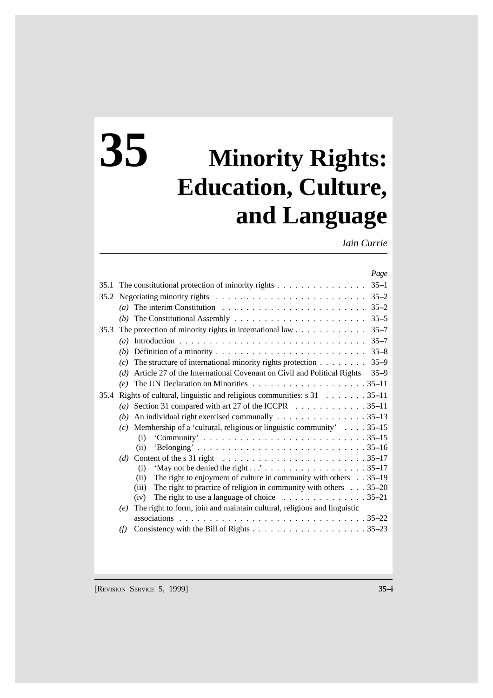# **35 Minority Rights: Education, Culture, and Language**

*Iain Currie*

|      |                                                                                                      | Page     |
|------|------------------------------------------------------------------------------------------------------|----------|
| 35.1 | The constitutional protection of minority rights $\dots \dots \dots \dots \dots$                     | $35 - 1$ |
|      |                                                                                                      |          |
|      | (a)                                                                                                  | $35 - 2$ |
|      | (b)                                                                                                  | $35 - 5$ |
| 35.3 |                                                                                                      | $35 - 7$ |
|      | (a)                                                                                                  | $35 - 7$ |
|      | (b)                                                                                                  | $35 - 8$ |
|      | The structure of international minority rights protection<br>(c)                                     | $35 - 9$ |
|      | Article 27 of the International Covenant on Civil and Political Rights<br>(d)                        | $35 - 9$ |
|      | (e)                                                                                                  |          |
| 35.4 | Rights of cultural, linguistic and religious communities: $s$ 31 35–11                               |          |
|      | Section 31 compared with art 27 of the ICCPR 35–11<br>$\left( a\right)$                              |          |
|      | An individual right exercised communally 35–13<br>(b)                                                |          |
|      | (c) Membership of a 'cultural, religious or linguistic community' $\dots$ . 35-15                    |          |
|      | (i)                                                                                                  |          |
|      | (ii)                                                                                                 |          |
|      | (d) Content of the s 31 right $\ldots \ldots \ldots \ldots \ldots \ldots \ldots \ldots \ldots 35-17$ |          |
|      | (i)                                                                                                  |          |
|      | The right to enjoyment of culture in community with others 35–19<br>(ii)                             |          |
|      | The right to practice of religion in community with others $\ldots$ 35–20<br>(iii)                   |          |
|      | The right to use a language of choice $\ldots \ldots \ldots \ldots \ldots 35-21$<br>(iv)             |          |
|      | The right to form, join and maintain cultural, religious and linguistic<br>(e)                       |          |
|      |                                                                                                      |          |
|      | (f)                                                                                                  |          |
|      |                                                                                                      |          |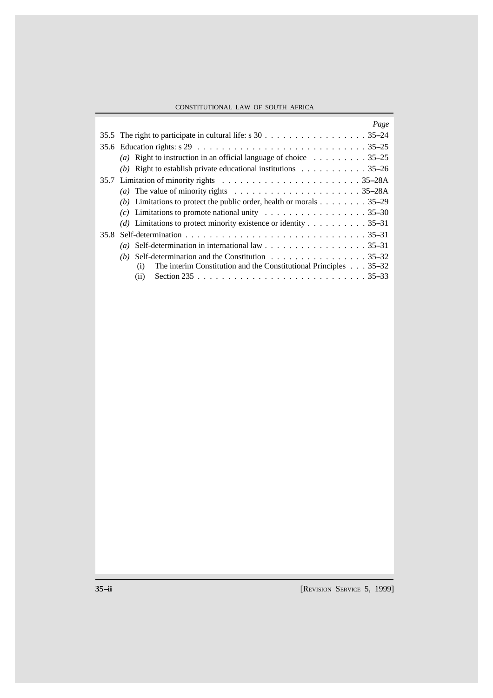## CONSTITUTIONAL LAW OF SOUTH AFRICA

|      | Page                                                                                                                          |
|------|-------------------------------------------------------------------------------------------------------------------------------|
|      |                                                                                                                               |
|      | 35.6 Education rights: $s$ 29 $\ldots$ $\ldots$ $\ldots$ $\ldots$ $\ldots$ $\ldots$ $\ldots$ $\ldots$ $\ldots$ $\ldots$ 35–25 |
|      | (a) Right to instruction in an official language of choice $\dots \dots \dots \dots \dots$                                    |
|      | (b) Right to establish private educational institutions $\ldots \ldots \ldots \ldots$ 35–26                                   |
|      |                                                                                                                               |
|      | (a) The value of minority rights $\dots \dots \dots \dots \dots \dots \dots \dots \dots 35-28A$                               |
|      | (b) Limitations to protect the public order, health or morals 35–29                                                           |
|      | (c) Limitations to promote national unity 35–30                                                                               |
|      | (d) Limitations to protect minority existence or identity 35–31                                                               |
| 35.8 |                                                                                                                               |
|      | (a) Self-determination in international law 35–31                                                                             |
|      | (b) Self-determination and the Constitution $\dots \dots \dots \dots \dots \dots \dots$ 35–32                                 |
|      | The interim Constitution and the Constitutional Principles $\ldots$ 35–32<br>(i)                                              |
|      | (ii)                                                                                                                          |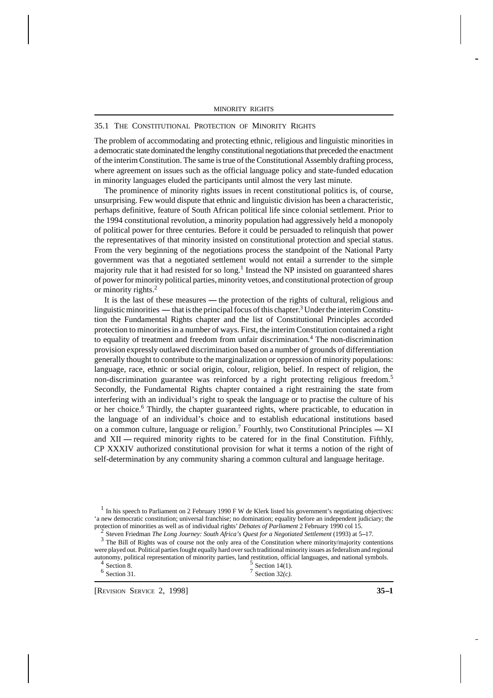## 35.1 THE CONSTITUTIONAL PROTECTION OF MINORITY RIGHTS

The problem of accommodating and protecting ethnic, religious and linguistic minorities in a democratic state dominated the lengthy constitutional negotiations that preceded the enactment of the interim Constitution. The same is true of the Constitutional Assembly drafting process, where agreement on issues such as the official language policy and state-funded education in minority languages eluded the participants until almost the very last minute.

1 The prominence of minority rights issues in recent constitutional politics is, of course, unsurprising. Few would dispute that ethnic and linguistic division has been a characteristic, perhaps definitive, feature of South African political life since colonial settlement. Prior to the 1994 constitutional revolution, a minority population had aggressively held a monopoly of political power for three centuries. Before it could be persuaded to relinquish that power the representatives of that minority insisted on constitutional protection and special status. From the very beginning of the negotiations process the standpoint of the National Party government was that a negotiated settlement would not entail a surrender to the simple majority rule that it had resisted for so long.<sup>1</sup> Instead the NP insisted on guaranteed shares of power for minority political parties, minority vetoes, and constitutional protection of group or minority rights.<sup>2</sup>

It is the last of these measures - the protection of the rights of cultural, religious and linguistic minorities — that is the principal focus of this chapter.<sup>3</sup> Under the interim Constitution the Fundamental Rights chapter and the list of Constitutional Principles accorded protection to minorities in a number of ways. First, the interim Constitution contained a right to equality of treatment and freedom from unfair discrimination.<sup>4</sup> The non-discrimination provision expressly outlawed discrimination based on a number of grounds of differentiation generally thought to contribute to the marginalization or oppression of minority populations: language, race, ethnic or social origin, colour, religion, belief. In respect of religion, the non-discrimination guarantee was reinforced by a right protecting religious freedom.<sup>5</sup> Secondly, the Fundamental Rights chapter contained a right restraining the state from interfering with an individual's right to speak the language or to practise the culture of his or her choice.<sup>6</sup> Thirdly, the chapter guaranteed rights, where practicable, to education in the language of an individual's choice and to establish educational institutions based on a common culture, language or religion.<sup>7</sup> Fourthly, two Constitutional Principles  $- XI$ and XII --- required minority rights to be catered for in the final Constitution. Fifthly, CP XXXIV authorized constitutional provision for what it terms a notion of the right of self-determination by any community sharing a common cultural and language heritage.

<sup>1</sup> In his speech to Parliament on 2 February 1990 F W de Klerk listed his government's negotiating objectives: 'a new democratic constitution; universal franchise; no domination; equality before an independent judiciary; the protection of minorities as well as of individual rights' *Debates of Parliament* 2 February 1990 col 15.

<sup>2</sup> Steven Friedman *The Long Journey: South Africa's Quest for a Negotiated Settlement* (1993) at 5-17.

<sup>3</sup> The Bill of Rights was of course not the only area of the Constitution where minority/majority contentions were played out. Political parties fought equally hard over such traditional minority issues as federalism and regional autonomy, political representation of minority parties, land restitution, official languages, and national symbols.<br>
<sup>5</sup> Section 14(1).

| $4$ Section 8.         |  | $\degree$ Section 14(1). |
|------------------------|--|--------------------------|
| $^{\circ}$ Section 31. |  | Section $32(c)$ .        |

[REVISION SERVICE 2, 1998] **35--1**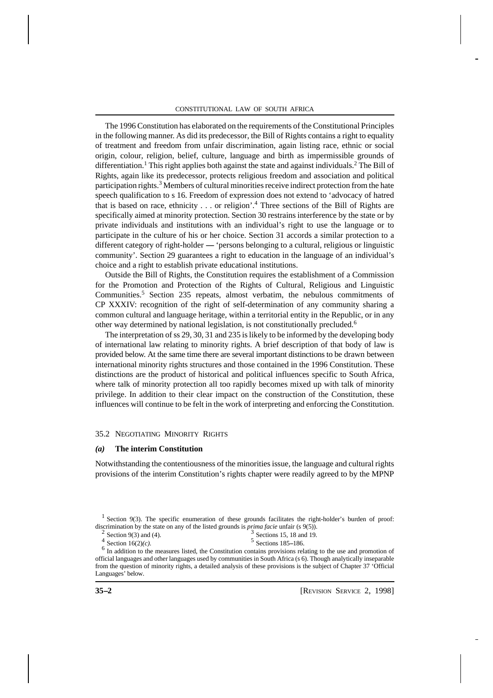The 1996 Constitution has elaborated on the requirements of the Constitutional Principles in the following manner. As did its predecessor, the Bill of Rights contains a right to equality of treatment and freedom from unfair discrimination, again listing race, ethnic or social origin, colour, religion, belief, culture, language and birth as impermissible grounds of differentiation.<sup>1</sup> This right applies both against the state and against individuals.<sup>2</sup> The Bill of Rights, again like its predecessor, protects religious freedom and association and political participation rights.<sup>3</sup> Members of cultural minorities receive indirect protection from the hate speech qualification to s 16. Freedom of expression does not extend to 'advocacy of hatred that is based on race, ethnicity . . . or religion'.<sup>4</sup> Three sections of the Bill of Rights are specifically aimed at minority protection. Section 30 restrains interference by the state or by private individuals and institutions with an individual's right to use the language or to participate in the culture of his or her choice. Section 31 accords a similar protection to a different category of right-holder — 'persons belonging to a cultural, religious or linguistic community'. Section 29 guarantees a right to education in the language of an individual's choice and a right to establish private educational institutions.

2 Outside the Bill of Rights, the Constitution requires the establishment of a Commission for the Promotion and Protection of the Rights of Cultural, Religious and Linguistic Communities.<sup>5</sup> Section 235 repeats, almost verbatim, the nebulous commitments of CP XXXIV: recognition of the right of self-determination of any community sharing a common cultural and language heritage, within a territorial entity in the Republic, or in any other way determined by national legislation, is not constitutionally precluded.<sup>6</sup>

The interpretation of ss 29, 30, 31 and 235 is likely to be informed by the developing body of international law relating to minority rights. A brief description of that body of law is provided below. At the same time there are several important distinctions to be drawn between international minority rights structures and those contained in the 1996 Constitution. These distinctions are the product of historical and political influences specific to South Africa, where talk of minority protection all too rapidly becomes mixed up with talk of minority privilege. In addition to their clear impact on the construction of the Constitution, these influences will continue to be felt in the work of interpreting and enforcing the Constitution.

## 35.2 NEGOTIATING MINORITY RIGHTS

#### *(a)* **The interim Constitution**

Notwithstanding the contentiousness of the minorities issue, the language and cultural rights provisions of the interim Constitution's rights chapter were readily agreed to by the MPNP

Section  $9(3)$  and  $(4)$ .

```
3 Sections 15, 18 and 19.
```
4 Section 16(2)*(c)*. <sup>5</sup> Sections 185-186.

<sup>6</sup> In addition to the measures listed, the Constitution contains provisions relating to the use and promotion of official languages and other languages used by communities in South Africa (s 6). Though analytically inseparable from the question of minority rights, a detailed analysis of these provisions is the subject of Chapter 37 'Official Languages' below.

<sup>&</sup>lt;sup>1</sup> Section 9(3). The specific enumeration of these grounds facilitates the right-holder's burden of proof: discrimination by the state on any of the listed grounds is *prima facie* unfair (s 9(5)).<br>
<sup>2</sup> Section 9(3) and (4)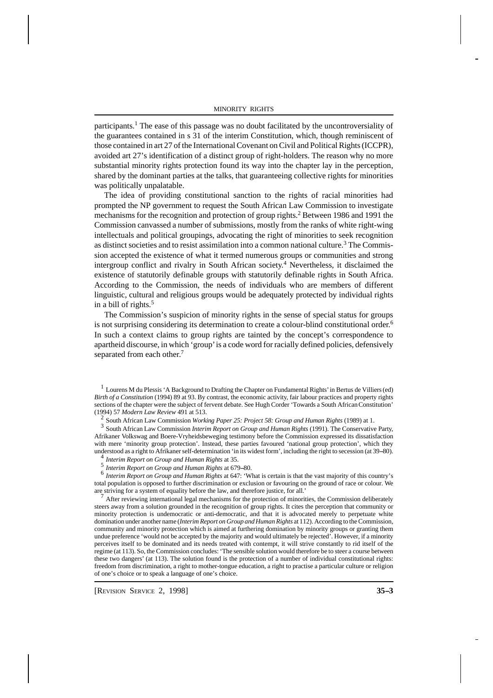participants.<sup>1</sup> The ease of this passage was no doubt facilitated by the uncontroversiality of the guarantees contained in s 31 of the interim Constitution, which, though reminiscent of those contained in art 27 of the International Covenant on Civil and Political Rights (ICCPR), avoided art 27's identification of a distinct group of right-holders. The reason why no more substantial minority rights protection found its way into the chapter lay in the perception, shared by the dominant parties at the talks, that guaranteeing collective rights for minorities was politically unpalatable.

The idea of providing constitutional sanction to the rights of racial minorities had prompted the NP government to request the South African Law Commission to investigate mechanisms for the recognition and protection of group rights.<sup>2</sup> Between 1986 and 1991 the Commission canvassed a number of submissions, mostly from the ranks of white right-wing intellectuals and political groupings, advocating the right of minorities to seek recognition as distinct societies and to resist assimilation into a common national culture.<sup>3</sup> The Commission accepted the existence of what it termed numerous groups or communities and strong intergroup conflict and rivalry in South African society. 4 Nevertheless, it disclaimed the existence of statutorily definable groups with statutorily definable rights in South Africa. According to the Commission, the needs of individuals who are members of different linguistic, cultural and religious groups would be adequately protected by individual rights in a bill of rights.<sup>5</sup>

The Commission's suspicion of minority rights in the sense of special status for groups is not surprising considering its determination to create a colour-blind constitutional order. 6 In such a context claims to group rights are tainted by the concept's correspondence to apartheid discourse, in which 'group' is a code word for racially defined policies, defensively separated from each other.<sup>7</sup>

<sup>1</sup> Lourens M du Plessis 'A Background to Drafting the Chapter on Fundamental Rights' in Bertus de Villiers (ed) *Birth of a Constitution* (1994) 89 at 93. By contrast, the economic activity, fair labour practices and property rights sections of the chapter were the subject of fervent debate. See Hugh Corder 'Towards a South African Constitution' (1994) 57 *Modern Law Review* 491 at 513.

2 South African Law Commission *Working Paper 25: Project 58: Group and Human Rights* (1989) at 1.

3 South African Law Commission *Interim Report on Group and Human Rights* (1991). The Conservative Party, Afrikaner Volkswag and Boere-Vryheidsbeweging testimony before the Commission expressed its dissatisfaction with mere 'minority group protection'. Instead, these parties favoured 'national group protection', which they understood as a right to Afrikaner self-determination 'in its widest form', including the right to secession (at 39–80).

*Interim Report on Group and Human Rights* at 35.

<sup>5</sup> Interim Report on Group and Human Rights at 679–80.

6 *Interim Report on Group and Human Rights* at 647: 'What is certain is that the vast majority of this country's total population is opposed to further discrimination or exclusion or favouring on the ground of race or colour. We are striving for a system of equality before the law, and therefore justice, for all.'

<sup>7</sup> After reviewing international legal mechanisms for the protection of minorities, the Commission deliberately steers away from a solution grounded in the recognition of group rights. It cites the perception that community or minority protection is undemocratic or anti-democratic, and that it is advocated merely to perpetuate white domination under another name (*Interim Report on Group and Human Rights* at 112). According to the Commission, community and minority protection which is aimed at furthering domination by minority groups or granting them undue preference 'would not be accepted by the majority and would ultimately be rejected'. However, if a minority perceives itself to be dominated and its needs treated with contempt, it will strive constantly to rid itself of the regime (at 113). So, the Commission concludes: 'The sensible solution would therefore be to steer a course between these two dangers' (at 113). The solution found is the protection of a number of individual constitutional rights: freedom from discrimination, a right to mother-tongue education, a right to practise a particular culture or religion of one's choice or to speak a language of one's choice.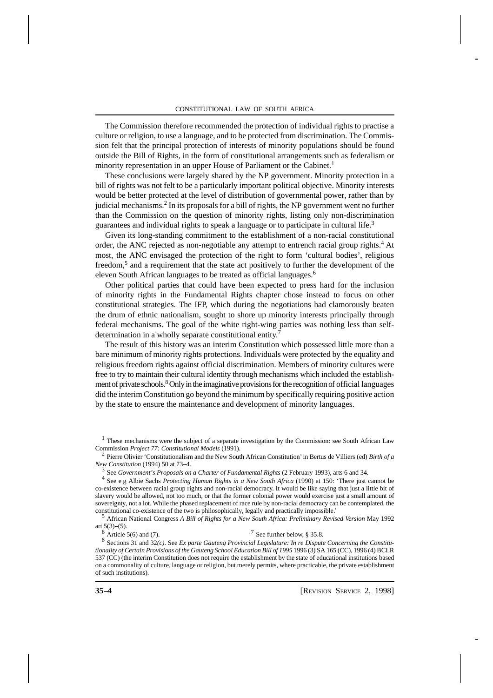The Commission therefore recommended the protection of individual rights to practise a culture or religion, to use a language, and to be protected from discrimination. The Commission felt that the principal protection of interests of minority populations should be found outside the Bill of Rights, in the form of constitutional arrangements such as federalism or minority representation in an upper House of Parliament or the Cabinet.<sup>1</sup>

These conclusions were largely shared by the NP government. Minority protection in a bill of rights was not felt to be a particularly important political objective. Minority interests would be better protected at the level of distribution of governmental power, rather than by judicial mechanisms.<sup>2</sup> In its proposals for a bill of rights, the NP government went no further than the Commission on the question of minority rights, listing only non-discrimination guarantees and individual rights to speak a language or to participate in cultural life.<sup>3</sup>

Given its long-standing commitment to the establishment of a non-racial constitutional order, the ANC rejected as non-negotiable any attempt to entrench racial group rights.<sup>4</sup> At most, the ANC envisaged the protection of the right to form 'cultural bodies', religious freedom,<sup>5</sup> and a requirement that the state act positively to further the development of the eleven South African languages to be treated as official languages.<sup>6</sup>

Other political parties that could have been expected to press hard for the inclusion of minority rights in the Fundamental Rights chapter chose instead to focus on other constitutional strategies. The IFP, which during the negotiations had clamorously beaten the drum of ethnic nationalism, sought to shore up minority interests principally through federal mechanisms. The goal of the white right-wing parties was nothing less than selfdetermination in a wholly separate constitutional entity.<sup>7</sup>

The result of this history was an interim Constitution which possessed little more than a bare minimum of minority rights protections. Individuals were protected by the equality and religious freedom rights against official discrimination. Members of minority cultures were free to try to maintain their cultural identity through mechanisms which included the establishment of private schools.<sup>8</sup> Only in the imaginative provisions for the recognition of official languages did the interim Constitution go beyond the minimum by specifically requiring positive action by the state to ensure the maintenance and development of minority languages.

<sup>1</sup> These mechanisms were the subject of a separate investigation by the Commission: see South African Law Commission *Project 77: Constitutional Models* (1991).

2 Pierre Olivier 'Constitutionalism and the New South African Constitution' in Bertus de Villiers (ed) *Birth of a New Constitution* (1994) 50 at 73-4.

3 See *Government's Proposals on a Charter of Fundamental Rights* (2 February 1993), arts 6 and 34.

4 See e g Albie Sachs *Protecting Human Rights in a New South Africa* (1990) at 150: 'There just cannot be co-existence between racial group rights and non-racial democracy. It would be like saying that just a little bit of slavery would be allowed, not too much, or that the former colonial power would exercise just a small amount of sovereignty, not a lot. While the phased replacement of race rule by non-racial democracy can be contemplated, the constitutional co-existence of the two is philosophically, legally and practically impossible.'

<sup>5</sup> African National Congress *A Bill of Rights for a New South Africa: Preliminary Revised Version* May 1992 art  $5(3)$ – $(5)$ .

 $6$  Article 5(6) and (7).

 $7$  See further below, § 35.8.

8 Sections 31 and 32*(c)*. See *Ex parte Gauteng Provincial Legislature: In re Dispute Concerning the Constitutionality of Certain Provisions of the Gauteng School Education Bill of 1995* 1996 (3) SA 165 (CC), 1996 (4) BCLR 537 (CC) (the interim Constitution does not require the establishment by the state of educational institutions based on a commonality of culture, language or religion, but merely permits, where practicable, the private establishment of such institutions).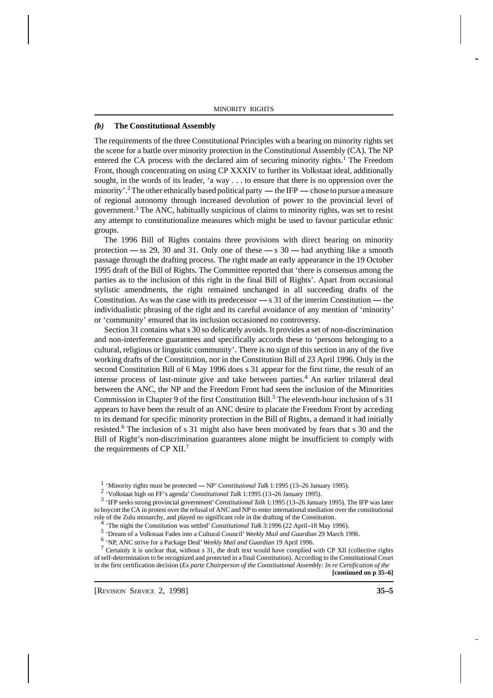## *(b)* **The Constitutional Assembly**

5The requirements of the three Constitutional Principles with a bearing on minority rights set the scene for a battle over minority protection in the Constitutional Assembly (CA). The NP entered the CA process with the declared aim of securing minority rights.<sup>1</sup> The Freedom Front, though concentrating on using CP XXXIV to further its Volkstaat ideal, additionally sought, in the words of its leader, 'a way . . . to ensure that there is no oppression over the minority'.<sup>2</sup> The other ethnically based political party — the IFP — chose to pursue a measure of regional autonomy through increased devolution of power to the provincial level of government.<sup>3</sup> The ANC, habitually suspicious of claims to minority rights, was set to resist any attempt to constitutionalize measures which might be used to favour particular ethnic groups.

The 1996 Bill of Rights contains three provisions with direct bearing on minority protection  $-$  ss 29, 30 and 31. Only one of these  $-$  s 30  $-$  had anything like a smooth passage through the drafting process. The right made an early appearance in the 19 October 1995 draft of the Bill of Rights. The Committee reported that 'there is consensus among the parties as to the inclusion of this right in the final Bill of Rights'. Apart from occasional stylistic amendments, the right remained unchanged in all succeeding drafts of the Constitution. As was the case with its predecessor  $\sim$  s 31 of the interim Constitution  $\sim$  the individualistic phrasing of the right and its careful avoidance of any mention of 'minority' or 'community' ensured that its inclusion occasioned no controversy.

Section 31 contains what s 30 so delicately avoids. It provides a set of non-discrimination and non-interference guarantees and specifically accords these to 'persons belonging to a cultural, religious or linguistic community'. There is no sign of this section in any of the five working drafts of the Constitution, nor in the Constitution Bill of 23 April 1996. Only in the second Constitution Bill of 6 May 1996 does s 31 appear for the first time, the result of an intense process of last-minute give and take between parties.<sup>4</sup> An earlier trilateral deal between the ANC, the NP and the Freedom Front had seen the inclusion of the Minorities Commission in Chapter 9 of the first Constitution Bill.<sup>5</sup> The eleventh-hour inclusion of s 31 appears to have been the result of an ANC desire to placate the Freedom Front by acceding to its demand for specific minority protection in the Bill of Rights, a demand it had initially resisted.<sup>6</sup> The inclusion of s 31 might also have been motivated by fears that s 30 and the Bill of Right's non-discrimination guarantees alone might be insufficient to comply with the requirements of CP XII.<sup>7</sup>

<sup>1</sup> 'Minority rights must be protected — NP' *Constitutional Talk* 1:1995 (13-26 January 1995).

<sup>2</sup> 'Volkstaat high on FF's agenda' *Constitutional Talk* 1:1995 (13-26 January 1995).

<sup>3</sup> 'IFP seeks strong provincial government' *Constitutional Talk* 1:1995 (13-26 January 1995). The IFP was later to boycott the CA in protest over the refusal of ANC and NP to enter international mediation over the constitutional role of the Zulu monarchy, and played no significant role in the drafting of the Constitution.

<sup>4</sup> The night the Constitution was settled' *Constitutional Talk* 3:1996 (22 April-18 May 1996).

5 'Dream of a Volkstaat Fades into a Cultural Council' *Weekly Mail and Guardian* 29 March 1996.

6 'NP, ANC strive for a Package Deal' *Weekly Mail and Guardian* 19 April 1996.

 $7$  Certainly it is unclear that, without s 31, the draft text would have complied with CP XII (collective rights of self-determination to be recognized and protected in a final Constitution). According to the Constitutional Court in the first certification decision (*Ex parte Chairperson of the Constitutional Assembly: In re Certification of the*

**[continued on p 35--6]**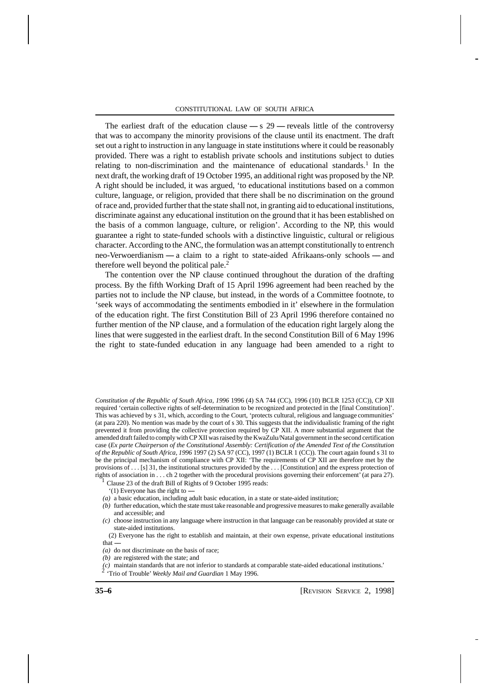The earliest draft of the education clause  $- s$  29  $-$  reveals little of the controversy that was to accompany the minority provisions of the clause until its enactment. The draft set out a right to instruction in any language in state institutions where it could be reasonably provided. There was a right to establish private schools and institutions subject to duties relating to non-discrimination and the maintenance of educational standards.<sup>1</sup> In the next draft, the working draft of 19 October 1995, an additional right was proposed by the NP. A right should be included, it was argued, 'to educational institutions based on a common culture, language, or religion, provided that there shall be no discrimination on the ground of race and, provided further that the state shall not, in granting aid to educational institutions, discriminate against any educational institution on the ground that it has been established on the basis of a common language, culture, or religion'. According to the NP, this would guarantee a right to state-funded schools with a distinctive linguistic, cultural or religious character. According to the ANC, the formulation was an attempt constitutionally to entrench neo-Verwoerdianism  $-a$  claim to a right to state-aided Afrikaans-only schools  $-a$  and therefore well beyond the political pale.<sup>2</sup>

The contention over the NP clause continued throughout the duration of the drafting process. By the fifth Working Draft of 15 April 1996 agreement had been reached by the parties not to include the NP clause, but instead, in the words of a Committee footnote, to 'seek ways of accommodating the sentiments embodied in it' elsewhere in the formulation of the education right. The first Constitution Bill of 23 April 1996 therefore contained no further mention of the NP clause, and a formulation of the education right largely along the lines that were suggested in the earliest draft. In the second Constitution Bill of 6 May 1996 the right to state-funded education in any language had been amended to a right to

*Constitution of the Republic of South Africa, 1996* 1996 (4) SA 744 (CC), 1996 (10) BCLR 1253 (CC)), CP XII required 'certain collective rights of self-determination to be recognized and protected in the [final Constitution]'. This was achieved by s 31, which, according to the Court, 'protects cultural, religious and language communities' (at para 220). No mention was made by the court of s 30. This suggests that the individualistic framing of the right prevented it from providing the collective protection required by CP XII. A more substantial argument that the amended draft failed to comply with CP XII was raised by the KwaZulu/Natal government in the second certification case (*Ex parte Chairperson of the Constitutional Assembly: Certification of the Amended Text of the Constitution of the Republic of South Africa, 1996* 1997 (2) SA 97 (CC), 1997 (1) BCLR 1 (CC)). The court again found s 31 to be the principal mechanism of compliance with CP XII: 'The requirements of CP XII are therefore met by the provisions of . . . [s] 31, the institutional structures provided by the . . . [Constitution] and the express protection of rights of association in . . . ch 2 together with the procedural provisions governing their enforcement' (at para 27).

<sup>1</sup> Clause 23 of the draft Bill of Rights of 9 October 1995 reads:

- $(1)$  Everyone has the right to  $-$
- *(a)* a basic education, including adult basic education, in a state or state-aided institution;
- *(b)* further education, which the state must take reasonable and progressive measures to make generally available and accessible; and
- *(c)* choose instruction in any language where instruction in that language can be reasonably provided at state or state-aided institutions.

 (2) Everyone has the right to establish and maintain, at their own expense, private educational institutions that $-$ 

*(a)* do not discriminate on the basis of race;

*(c)* maintain standards that are not inferior to standards at comparable state-aided educational institutions.' 2 'Trio of Trouble' *Weekly Mail and Guardian* 1 May 1996.

*<sup>(</sup>b)* are registered with the state; and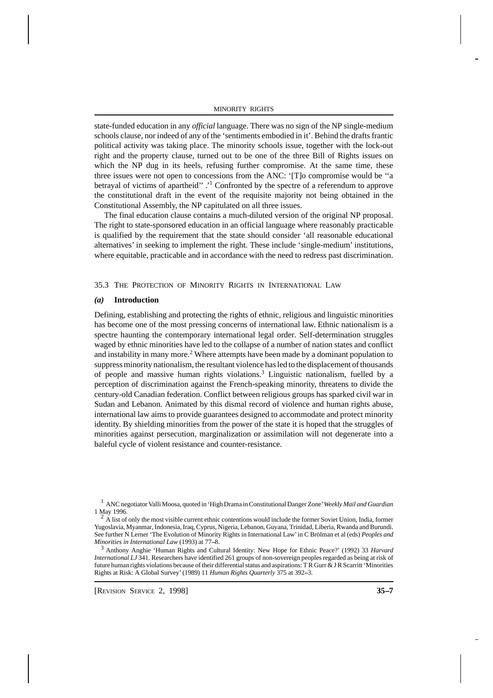state-funded education in any *official* language. There was no sign of the NP single-medium schools clause, nor indeed of any of the 'sentiments embodied in it'. Behind the drafts frantic political activity was taking place. The minority schools issue, together with the lock-out right and the property clause, turned out to be one of the three Bill of Rights issues on which the NP dug in its heels, refusing further compromise. At the same time, these three issues were not open to concessions from the ANC: '[T]o compromise would be ''a betrayal of victims of apartheid" .<sup>1</sup> Confronted by the spectre of a referendum to approve the constitutional draft in the event of the requisite majority not being obtained in the Constitutional Assembly, the NP capitulated on all three issues.

7 The final education clause contains a much-diluted version of the original NP proposal. The right to state-sponsored education in an official language where reasonably practicable is qualified by the requirement that the state should consider 'all reasonable educational alternatives' in seeking to implement the right. These include 'single-medium' institutions, where equitable, practicable and in accordance with the need to redress past discrimination.

35.3 THE PROTECTION OF MINORITY RIGHTS IN INTERNATIONAL LAW

## *(a)* **Introduction**

Defining, establishing and protecting the rights of ethnic, religious and linguistic minorities has become one of the most pressing concerns of international law. Ethnic nationalism is a spectre haunting the contemporary international legal order. Self-determination struggles waged by ethnic minorities have led to the collapse of a number of nation states and conflict and instability in many more.<sup>2</sup> Where attempts have been made by a dominant population to suppress minority nationalism, the resultant violence has led to the displacement of thousands of people and massive human rights violations.<sup>3</sup> Linguistic nationalism, fuelled by a perception of discrimination against the French-speaking minority, threatens to divide the century-old Canadian federation. Conflict between religious groups has sparked civil war in Sudan and Lebanon. Animated by this dismal record of violence and human rights abuse, international law aims to provide guarantees designed to accommodate and protect minority identity. By shielding minorities from the power of the state it is hoped that the struggles of minorities against persecution, marginalization or assimilation will not degenerate into a baleful cycle of violent resistance and counter-resistance.

<sup>1</sup> ANC negotiator Valli Moosa, quoted in 'High Drama in Constitutional Danger Zone' *Weekly Mail and Guardian* 1 May 1996.

 $<sup>2</sup>$  A list of only the most visible current ethnic contentions would include the former Soviet Union, India, former</sup> Yugoslavia, Myanmar, Indonesia, Iraq, Cyprus, Nigeria, Lebanon, Guyana, Trinidad, Liberia, Rwanda and Burundi. See further N Lerner 'The Evolution of Minority Rights in International Law' in C Brölman et al (eds) *Peoples and Minorities in International Law* (1993) at 77-8.

<sup>3</sup> Anthony Anghie 'Human Rights and Cultural Identity: New Hope for Ethnic Peace?' (1992) 33 *Harvard International LJ* 341. Researchers have identified 261 groups of non-sovereign peoples regarded as being at risk of future human rights violations because of their differential status and aspirations: T R Gurr & J R Scarritt 'Minorities Rights at Risk: A Global Survey' (1989) 11 *Human Rights Quarterly* 375 at 392-3.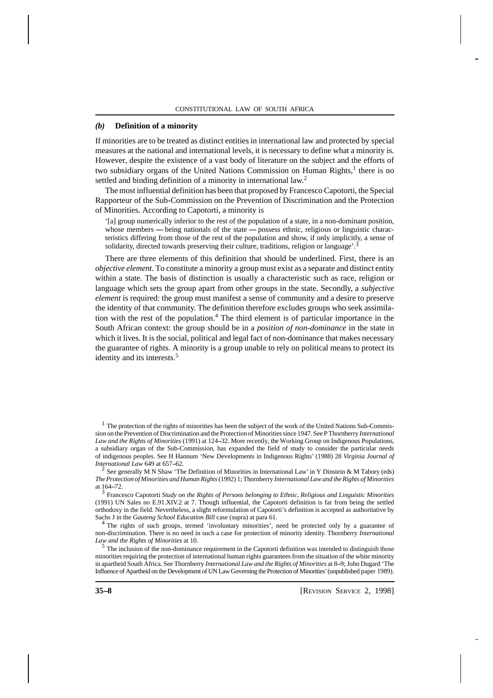## *(b)* **Definition of a minority**

If minorities are to be treated as distinct entities in international law and protected by special measures at the national and international levels, it is necessary to define what a minority is. However, despite the existence of a vast body of literature on the subject and the efforts of two subsidiary organs of the United Nations Commission on Human Rights,<sup>1</sup> there is no settled and binding definition of a minority in international law.<sup>2</sup>

8 The most influential definition has been that proposed by Francesco Capotorti, the Special Rapporteur of the Sub-Commission on the Prevention of Discrimination and the Protection of Minorities. According to Capotorti, a minority is

'[a] group numerically inferior to the rest of the population of a state, in a non-dominant position, whose members — being nationals of the state  $-$  possess ethnic, religious or linguistic characteristics differing from those of the rest of the population and show, if only implicitly, a sense of solidarity, directed towards preserving their culture, traditions, religion or language'.<sup>3</sup>

There are three elements of this definition that should be underlined. First, there is an *objective element*. To constitute a minority a group must exist as a separate and distinct entity within a state. The basis of distinction is usually a characteristic such as race, religion or language which sets the group apart from other groups in the state. Secondly, a *subjective element* is required: the group must manifest a sense of community and a desire to preserve the identity of that community. The definition therefore excludes groups who seek assimilation with the rest of the population.<sup>4</sup> The third element is of particular importance in the South African context: the group should be in a *position of non-dominance* in the state in which it lives. It is the social, political and legal fact of non-dominance that makes necessary the guarantee of rights. A minority is a group unable to rely on political means to protect its identity and its interests.<sup>5</sup>

<sup>1</sup> The protection of the rights of minorities has been the subject of the work of the United Nations Sub-Commission on the Prevention of Discrimination and the Protection of Minorities since 1947. See P Thornberry *International* Law and the Rights of Minorities (1991) at 124-32. More recently, the Working Group on Indigenous Populations, a subsidiary organ of the Sub-Commission, has expanded the field of study to consider the particular needs of indigenous peoples. See H Hannum 'New Developments in Indigenous Rights' (1988) 28 *Virginia Journal of International Law* 649 at 657–62.

<sup>2</sup> See generally M N Shaw 'The Definition of Minorities in International Law' in Y Dinstein & M Tabory (eds) *The Protection of Minorities and Human Rights* (1992) 1; Thornberry *International Law and the Rights of Minorities* at 164-72.

3 Francesco Capotorti *Study on the Rights of Persons belonging to Ethnic, Religious and Linguistic Minorities* (1991) UN Sales no E.91.XIV.2 at 7. Though influential, the Capotorti definition is far from being the settled orthodoxy in the field. Nevertheless, a slight reformulation of Capotorti's definition is accepted as authoritative by Sachs J in the *Gauteng School Education Bill* case (supra) at para 61.

<sup>4</sup> The rights of such groups, termed 'involuntary minorities', need be protected only by a guarantee of non-discrimination. There is no need in such a case for protection of minority identity. Thornberry *International Law and the Rights of Minorities* at 10.

<sup>5</sup> The inclusion of the non-dominance requirement in the Capotorti definition was intended to distinguish those minorities requiring the protection of international human rights guarantees from the situation of the white minority in apartheid South Africa. See Thornberry *International Law and the Rights of Minorities* at 8–9; John Dugard 'The Influence of Apartheid on the Development of UN Law Governing the Protection of Minorities' (unpublished paper 1989).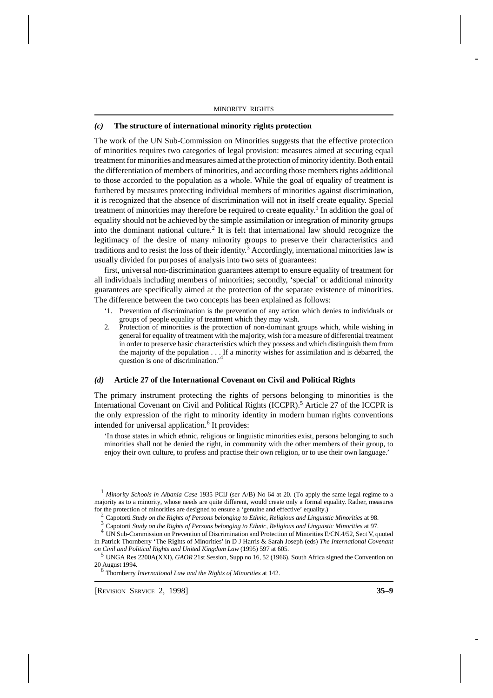## *(c)* **The structure of international minority rights protection**

9The work of the UN Sub-Commission on Minorities suggests that the effective protection of minorities requires two categories of legal provision: measures aimed at securing equal treatment for minorities and measures aimed at the protection of minority identity. Both entail the differentiation of members of minorities, and according those members rights additional to those accorded to the population as a whole. While the goal of equality of treatment is furthered by measures protecting individual members of minorities against discrimination, it is recognized that the absence of discrimination will not in itself create equality. Special treatment of minorities may therefore be required to create equality.<sup>1</sup> In addition the goal of equality should not be achieved by the simple assimilation or integration of minority groups into the dominant national culture.<sup>2</sup> It is felt that international law should recognize the legitimacy of the desire of many minority groups to preserve their characteristics and traditions and to resist the loss of their identity.<sup>3</sup> Accordingly, international minorities law is usually divided for purposes of analysis into two sets of guarantees:

first, universal non-discrimination guarantees attempt to ensure equality of treatment for all individuals including members of minorities; secondly, 'special' or additional minority guarantees are specifically aimed at the protection of the separate existence of minorities. The difference between the two concepts has been explained as follows:

- '1. Prevention of discrimination is the prevention of any action which denies to individuals or groups of people equality of treatment which they may wish.
- 2. Protection of minorities is the protection of non-dominant groups which, while wishing in general for equality of treatment with the majority, wish for a measure of differential treatment in order to preserve basic characteristics which they possess and which distinguish them from the majority of the population  $\ldots$ . If a minority wishes for assimilation and is debarred, the question is one of discrimination  $\ell^4$ question is one of discrimination.'

## *(d)* **Article 27 of the International Covenant on Civil and Political Rights**

The primary instrument protecting the rights of persons belonging to minorities is the International Covenant on Civil and Political Rights (ICCPR).<sup>5</sup> Article 27 of the ICCPR is the only expression of the right to minority identity in modern human rights conventions intended for universal application.<sup>6</sup> It provides:

'In those states in which ethnic, religious or linguistic minorities exist, persons belonging to such minorities shall not be denied the right, in community with the other members of their group, to enjoy their own culture, to profess and practise their own religion, or to use their own language.'

<sup>1</sup> *Minority Schools in Albania Case* 1935 PCIJ (ser A/B) No 64 at 20. (To apply the same legal regime to a majority as to a minority, whose needs are quite different, would create only a formal equality. Rather, measures for the protection of minorities are designed to ensure a 'genuine and effective' equality.)

<sup>2</sup> Capotorti *Study on the Rights of Persons belonging to Ethnic, Religious and Linguistic Minorities* at 98.

<sup>3</sup> Capotorti *Study on the Rights of Persons belonging to Ethnic, Religious and Linguistic Minorities* at 97.

<sup>4</sup> UN Sub-Commission on Prevention of Discrimination and Protection of Minorities E/CN.4/52, Sect V, quoted in Patrick Thornberry 'The Rights of Minorities' in D J Harris & Sarah Joseph (eds) *The International Covenant on Civil and Political Rights and United Kingdom Law* (1995) 597 at 605.

<sup>5</sup> UNGA Res 2200A(XXI), *GAOR* 21st Session, Supp no 16, 52 (1966). South Africa signed the Convention on 20 August 1994.

<sup>6</sup> Thornberry *International Law and the Rights of Minorities* at 142.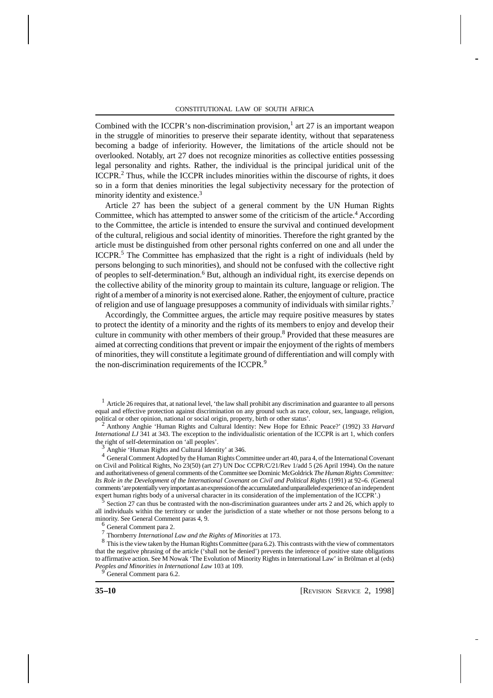Combined with the ICCPR's non-discrimination provision,<sup>1</sup> art 27 is an important weapon in the struggle of minorities to preserve their separate identity, without that separateness becoming a badge of inferiority. However, the limitations of the article should not be overlooked. Notably, art 27 does not recognize minorities as collective entities possessing legal personality and rights. Rather, the individual is the principal juridical unit of the ICCPR.<sup>2</sup> Thus, while the ICCPR includes minorities within the discourse of rights, it does so in a form that denies minorities the legal subjectivity necessary for the protection of minority identity and existence.<sup>3</sup>

Article 27 has been the subject of a general comment by the UN Human Rights Committee, which has attempted to answer some of the criticism of the article.<sup>4</sup> According to the Committee, the article is intended to ensure the survival and continued development of the cultural, religious and social identity of minorities. Therefore the right granted by the article must be distinguished from other personal rights conferred on one and all under the ICCPR.<sup>5</sup> The Committee has emphasized that the right is a right of individuals (held by persons belonging to such minorities), and should not be confused with the collective right of peoples to self-determination.<sup>6</sup> But, although an individual right, its exercise depends on the collective ability of the minority group to maintain its culture, language or religion. The right of a member of a minority is not exercised alone. Rather, the enjoyment of culture, practice of religion and use of language presupposes a community of individuals with similar rights.<sup>7</sup>

Accordingly, the Committee argues, the article may require positive measures by states to protect the identity of a minority and the rights of its members to enjoy and develop their culture in community with other members of their group.<sup>8</sup> Provided that these measures are aimed at correcting conditions that prevent or impair the enjoyment of the rights of members of minorities, they will constitute a legitimate ground of differentiation and will comply with the non-discrimination requirements of the ICCPR.<sup>9</sup>

 $<sup>1</sup>$  Article 26 requires that, at national level, 'the law shall prohibit any discrimination and guarantee to all persons</sup> equal and effective protection against discrimination on any ground such as race, colour, sex, language, religion, political or other opinion, national or social origin, property, birth or other status'.

<sup>2</sup> Anthony Anghie 'Human Rights and Cultural Identity: New Hope for Ethnic Peace?' (1992) 33 *Harvard International LJ* 341 at 343. The exception to the individualistic orientation of the ICCPR is art 1, which confers the right of self-determination on 'all peoples'.

<sup>3</sup> Anghie 'Human Rights and Cultural Identity' at 346.

<sup>4</sup> General Comment Adopted by the Human Rights Committee under art 40, para 4, of the International Covenant on Civil and Political Rights, No 23(50) (art 27) UN Doc CCPR/C/21/Rev 1/add 5 (26 April 1994). On the nature and authoritativeness of general comments of the Committee see Dominic McGoldrick *The Human Rights Committee:* Its Role in the Development of the International Covenant on Civil and Political Rights (1991) at 92–6. (General comments 'are potentially very important as an expression of the accumulated and unparalleled experience of an independent expert human rights body of a universal character in its consideration of the implementation of the ICCPR'.)

5 Section 27 can thus be contrasted with the non-discrimination guarantees under arts 2 and 26, which apply to all individuals within the territory or under the jurisdiction of a state whether or not those persons belong to a minority. See General Comment paras 4, 9.

<sup>6</sup> General Comment para 2.

7 Thornberry *International Law and the Rights of Minorities* at 173.

<sup>8</sup> This is the view taken by the Human Rights Committee (para 6.2). This contrasts with the view of commentators that the negative phrasing of the article ('shall not be denied') prevents the inference of positive state obligations to affirmative action. See M Nowak 'The Evolution of Minority Rights in International Law' in Brölman et al (eds) *Peoples and Minorities in International Law* 103 at 109.

General Comment para 6.2.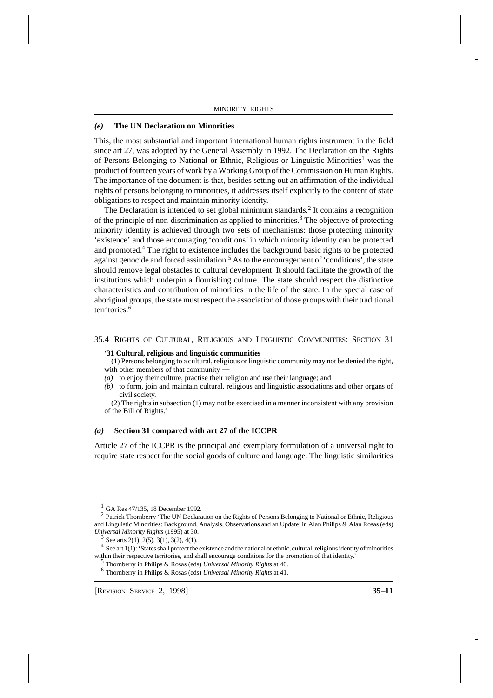#### *(e)* **The UN Declaration on Minorities**

This, the most substantial and important international human rights instrument in the field since art 27, was adopted by the General Assembly in 1992. The Declaration on the Rights of Persons Belonging to National or Ethnic, Religious or Linguistic Minorities<sup>1</sup> was the product of fourteen years of work by a Working Group of the Commission on Human Rights. The importance of the document is that, besides setting out an affirmation of the individual rights of persons belonging to minorities, it addresses itself explicitly to the content of state obligations to respect and maintain minority identity.

The Declaration is intended to set global minimum standards.<sup>2</sup> It contains a recognition of the principle of non-discrimination as applied to minorities.<sup>3</sup> The objective of protecting minority identity is achieved through two sets of mechanisms: those protecting minority 'existence' and those encouraging 'conditions' in which minority identity can be protected and promoted.<sup>4</sup> The right to existence includes the background basic rights to be protected against genocide and forced assimilation.<sup>5</sup> As to the encouragement of 'conditions', the state should remove legal obstacles to cultural development. It should facilitate the growth of the institutions which underpin a flourishing culture. The state should respect the distinctive characteristics and contribution of minorities in the life of the state. In the special case of aboriginal groups, the state must respect the association of those groups with their traditional territories.<sup>6</sup>

#### 35.4 RIGHTS OF CULTURAL, RELIGIOUS AND LINGUISTIC COMMUNITIES: SECTION 31

#### '**31 Cultural, religious and linguistic communities**

 (1) Persons belonging to a cultural, religious or linguistic community may not be denied the right, with other members of that community  $-$ 

- *(a)* to enjoy their culture, practise their religion and use their language; and
- *(b)* to form, join and maintain cultural, religious and linguistic associations and other organs of civil society.

 (2) The rights in subsection (1) may not be exercised in a manner inconsistent with any provision of the Bill of Rights.'

#### *(a)* **Section 31 compared with art 27 of the ICCPR**

Article 27 of the ICCPR is the principal and exemplary formulation of a universal right to require state respect for the social goods of culture and language. The linguistic similarities

 $1$  GA Res 47/135, 18 December 1992.

<sup>2</sup> Patrick Thornberry 'The UN Declaration on the Rights of Persons Belonging to National or Ethnic, Religious and Linguistic Minorities: Background, Analysis, Observations and an Update' in Alan Philips & Alan Rosas (eds) *Universal Minority Rights* (1995) at 30.

3 See arts 2(1), 2(5), 3(1), 3(2), 4(1).

 $4$  See art 1(1): 'States shall protect the existence and the national or ethnic, cultural, religious identity of minorities within their respective territories, and shall encourage conditions for the promotion of that identity.'

5 Thornberry in Philips & Rosas (eds) *Universal Minority Rights* at 40.

6 Thornberry in Philips & Rosas (eds) *Universal Minority Rights* at 41.

[REVISION SERVICE 2, 1998] **35--11**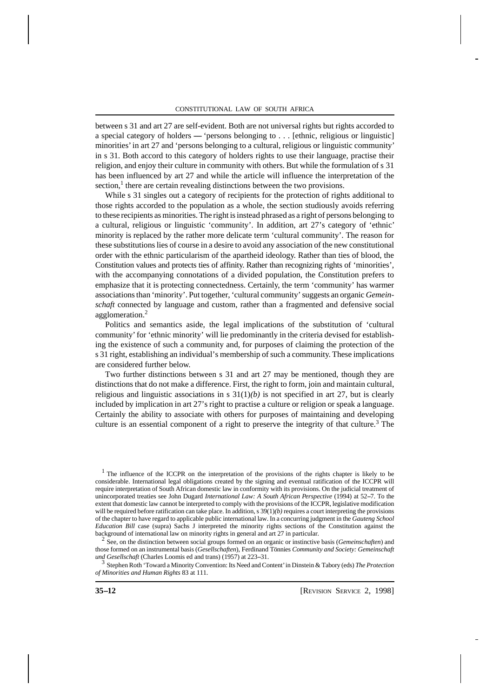between s 31 and art 27 are self-evident. Both are not universal rights but rights accorded to a special category of holders  $-$  'persons belonging to ... [ethnic, religious or linguistic] minorities' in art 27 and 'persons belonging to a cultural, religious or linguistic community' in s 31. Both accord to this category of holders rights to use their language, practise their religion, and enjoy their culture in community with others. But while the formulation of s 31 has been influenced by art 27 and while the article will influence the interpretation of the  $section<sup>1</sup>$ , there are certain revealing distinctions between the two provisions.

While s 31 singles out a category of recipients for the protection of rights additional to those rights accorded to the population as a whole, the section studiously avoids referring to these recipients as minorities. The right is instead phrased as a right of persons belonging to a cultural, religious or linguistic 'community'. In addition, art 27's category of 'ethnic' minority is replaced by the rather more delicate term 'cultural community'. The reason for these substitutions lies of course in a desire to avoid any association of the new constitutional order with the ethnic particularism of the apartheid ideology. Rather than ties of blood, the Constitution values and protects ties of affinity. Rather than recognizing rights of 'minorities', with the accompanying connotations of a divided population, the Constitution prefers to emphasize that it is protecting connectedness. Certainly, the term 'community' has warmer associations than 'minority'. Put together, 'cultural community' suggests an organic *Gemeinschaft* connected by language and custom, rather than a fragmented and defensive social agglomeration.<sup>2</sup>

Politics and semantics aside, the legal implications of the substitution of 'cultural community' for 'ethnic minority' will lie predominantly in the criteria devised for establishing the existence of such a community and, for purposes of claiming the protection of the s 31 right, establishing an individual's membership of such a community. These implications are considered further below.

Two further distinctions between s 31 and art 27 may be mentioned, though they are distinctions that do not make a difference. First, the right to form, join and maintain cultural, religious and linguistic associations in s  $31(1)(b)$  is not specified in art 27, but is clearly included by implication in art 27's right to practise a culture or religion or speak a language. Certainly the ability to associate with others for purposes of maintaining and developing culture is an essential component of a right to preserve the integrity of that culture.<sup>3</sup> The

<sup>1</sup> The influence of the ICCPR on the interpretation of the provisions of the rights chapter is likely to be considerable. International legal obligations created by the signing and eventual ratification of the ICCPR will require interpretation of South African domestic law in conformity with its provisions. On the judicial treatment of unincorporated treaties see John Dugard *International Law: A South African Perspective* (1994) at 52-7. To the extent that domestic law cannot be interpreted to comply with the provisions of the ICCPR, legislative modification will be required before ratification can take place. In addition,  $s \frac{39(1)}{b}$  requires a court interpreting the provisions of the chapter to have regard to applicable public international law. In a concurring judgment in the *Gauteng School Education Bill* case (supra) Sachs J interpreted the minority rights sections of the Constitution against the background of international law on minority rights in general and art 27 in particular.

2 See, on the distinction between social groups formed on an organic or instinctive basis (*Gemeinschaften*) and those formed on an instrumental basis (*Gesellschaften*), Ferdinand Tönnies *Community and Society: Gemeinschaft* und Gesellschaft (Charles Loomis ed and trans) (1957) at 223-31.

<sup>3</sup> Stephen Roth 'Toward a Minority Convention: Its Need and Content' in Dinstein & Tabory (eds) *The Protection of Minorities and Human Rights* 83 at 111.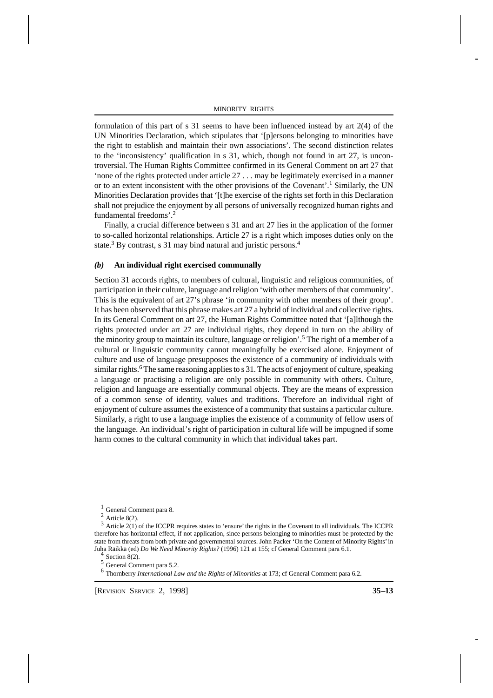formulation of this part of s 31 seems to have been influenced instead by art 2(4) of the UN Minorities Declaration, which stipulates that '[p]ersons belonging to minorities have the right to establish and maintain their own associations'. The second distinction relates to the 'inconsistency' qualification in s 31, which, though not found in art 27, is uncontroversial. The Human Rights Committee confirmed in its General Comment on art 27 that 'none of the rights protected under article 27 . . . may be legitimately exercised in a manner or to an extent inconsistent with the other provisions of the Covenant'.<sup>1</sup> Similarly, the UN Minorities Declaration provides that '[t]he exercise of the rights set forth in this Declaration shall not prejudice the enjoyment by all persons of universally recognized human rights and fundamental freedoms'.<sup>2</sup>

13Finally, a crucial difference between s 31 and art 27 lies in the application of the former to so-called horizontal relationships. Article 27 is a right which imposes duties only on the state.<sup>3</sup> By contrast, s 31 may bind natural and juristic persons.<sup>4</sup>

## *(b)* **An individual right exercised communally**

Section 31 accords rights, to members of cultural, linguistic and religious communities, of participation in their culture, language and religion 'with other members of that community'. This is the equivalent of art 27's phrase 'in community with other members of their group'. It has been observed that this phrase makes art 27 a hybrid of individual and collective rights. In its General Comment on art 27, the Human Rights Committee noted that '[a]lthough the rights protected under art 27 are individual rights, they depend in turn on the ability of the minority group to maintain its culture, language or religion'.<sup>5</sup> The right of a member of a cultural or linguistic community cannot meaningfully be exercised alone. Enjoyment of culture and use of language presupposes the existence of a community of individuals with similar rights.<sup>6</sup> The same reasoning applies to s 31. The acts of enjoyment of culture, speaking a language or practising a religion are only possible in community with others. Culture, religion and language are essentially communal objects. They are the means of expression of a common sense of identity, values and traditions. Therefore an individual right of enjoyment of culture assumes the existence of a community that sustains a particular culture. Similarly, a right to use a language implies the existence of a community of fellow users of the language. An individual's right of participation in cultural life will be impugned if some harm comes to the cultural community in which that individual takes part.

 $3$  Article 2(1) of the ICCPR requires states to 'ensure' the rights in the Covenant to all individuals. The ICCPR therefore has horizontal effect, if not application, since persons belonging to minorities must be protected by the state from threats from both private and governmental sources. John Packer 'On the Content of Minority Rights' in Juha Räikkä (ed) *Do We Need Minority Rights?* (1996) 121 at 155; cf General Comment para 6.1. 4

Section 8(2).

<sup>5</sup> General Comment para 5.2.

6 Thornberry *International Law and the Rights of Minorities* at 173; cf General Comment para 6.2.

[REVISION SERVICE 2, 1998] **35--13**

 $<sup>1</sup>$  General Comment para 8.</sup>

 $2$  Article 8(2).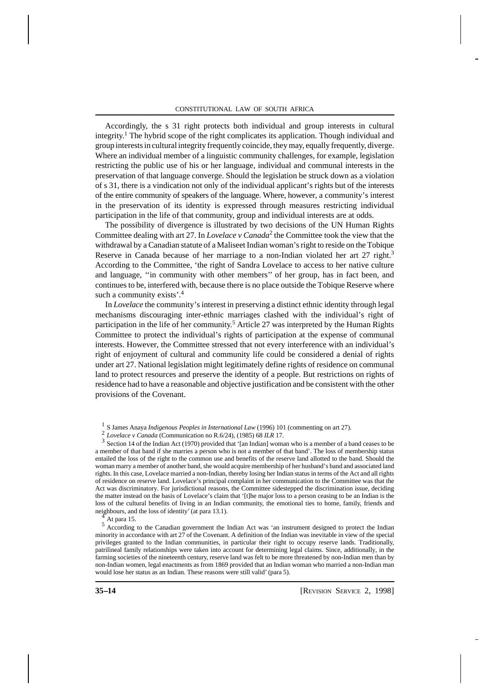Accordingly, the s 31 right protects both individual and group interests in cultural integrity. 1 The hybrid scope of the right complicates its application. Though individual and group interests in cultural integrity frequently coincide, they may, equally frequently, diverge. Where an individual member of a linguistic community challenges, for example, legislation restricting the public use of his or her language, individual and communal interests in the preservation of that language converge. Should the legislation be struck down as a violation of s 31, there is a vindication not only of the individual applicant's rights but of the interests of the entire community of speakers of the language. Where, however, a community's interest in the preservation of its identity is expressed through measures restricting individual participation in the life of that community, group and individual interests are at odds.

The possibility of divergence is illustrated by two decisions of the UN Human Rights Committee dealing with art 27. In *Lovelace v Canada*<sup>2</sup> the Committee took the view that the withdrawal by a Canadian statute of a Maliseet Indian woman's right to reside on the Tobique Reserve in Canada because of her marriage to a non-Indian violated her art 27 right.<sup>3</sup> According to the Committee, 'the right of Sandra Lovelace to access to her native culture and language, ''in community with other members'' of her group, has in fact been, and continues to be, interfered with, because there is no place outside the Tobique Reserve where such a community exists'.<sup>4</sup>

In *Lovelace* the community's interest in preserving a distinct ethnic identity through legal mechanisms discouraging inter-ethnic marriages clashed with the individual's right of participation in the life of her community.<sup>5</sup> Article 27 was interpreted by the Human Rights Committee to protect the individual's rights of participation at the expense of communal interests. However, the Committee stressed that not every interference with an individual's right of enjoyment of cultural and community life could be considered a denial of rights under art 27. National legislation might legitimately define rights of residence on communal land to protect resources and preserve the identity of a people. But restrictions on rights of residence had to have a reasonable and objective justification and be consistent with the other provisions of the Covenant.

<sup>3</sup> Section 14 of the Indian Act (1970) provided that '[an Indian] woman who is a member of a band ceases to be a member of that band if she marries a person who is not a member of that band'. The loss of membership status entailed the loss of the right to the common use and benefits of the reserve land allotted to the band. Should the woman marry a member of another band, she would acquire membership of her husband's band and associated land rights. In this case, Lovelace married a non-Indian, thereby losing her Indian status in terms of the Act and all rights of residence on reserve land. Lovelace's principal complaint in her communication to the Committee was that the Act was discriminatory. For jurisdictional reasons, the Committee sidestepped the discrimination issue, deciding the matter instead on the basis of Lovelace's claim that '[t]he major loss to a person ceasing to be an Indian is the loss of the cultural benefits of living in an Indian community, the emotional ties to home, family, friends and neighbours, and the loss of identity' (at para 13.1).

<sup>5</sup> According to the Canadian government the Indian Act was 'an instrument designed to protect the Indian minority in accordance with art 27 of the Covenant. A definition of the Indian was inevitable in view of the special privileges granted to the Indian communities, in particular their right to occupy reserve lands. Traditionally, patrilineal family relationships were taken into account for determining legal claims. Since, additionally, in the farming societies of the nineteenth century, reserve land was felt to be more threatened by non-Indian men than by non-Indian women, legal enactments as from 1869 provided that an Indian woman who married a non-Indian man would lose her status as an Indian. These reasons were still valid' (para 5).

<sup>1</sup> S James Anaya *Indigenous Peoples in International Law* (1996) 101 (commenting on art 27).

<sup>2</sup> *Lovelace v Canada* (Communication no R.6/24), (1985) 68 *ILR* 17.

At para 15.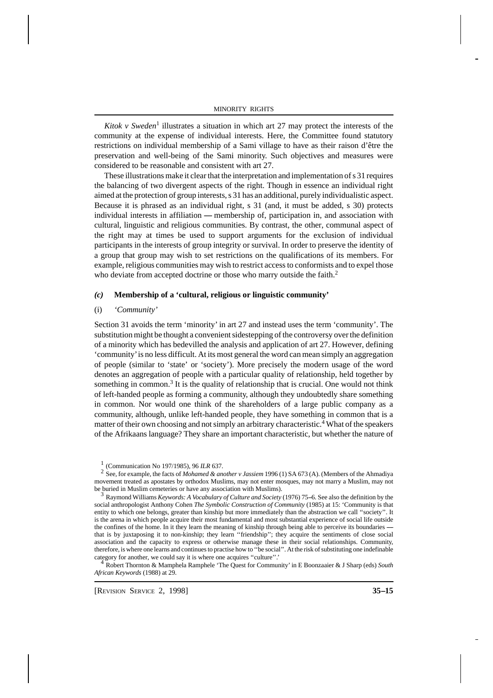Kitok v Sweden<sup>1</sup> illustrates a situation in which art 27 may protect the interests of the community at the expense of individual interests. Here, the Committee found statutory restrictions on individual membership of a Sami village to have as their raison d'être the preservation and well-being of the Sami minority. Such objectives and measures were considered to be reasonable and consistent with art 27.

15 These illustrations make it clear that the interpretation and implementation of s 31 requires the balancing of two divergent aspects of the right. Though in essence an individual right aimed at the protection of group interests, s 31 has an additional, purely individualistic aspect. Because it is phrased as an individual right, s 31 (and, it must be added, s 30) protects individual interests in affiliation — membership of, participation in, and association with cultural, linguistic and religious communities. By contrast, the other, communal aspect of the right may at times be used to support arguments for the exclusion of individual participants in the interests of group integrity or survival. In order to preserve the identity of a group that group may wish to set restrictions on the qualifications of its members. For example, religious communities may wish to restrict access to conformists and to expel those who deviate from accepted doctrine or those who marry outside the faith.<sup>2</sup>

# *(c)* **Membership of a 'cultural, religious or linguistic community'**

#### (i) *'Community'*

Section 31 avoids the term 'minority' in art 27 and instead uses the term 'community'. The substitution might be thought a convenient sidestepping of the controversy over the definition of a minority which has bedevilled the analysis and application of art 27. However, defining 'community' is no less difficult. At its most general the word can mean simply an aggregation of people (similar to 'state' or 'society'). More precisely the modern usage of the word denotes an aggregation of people with a particular quality of relationship, held together by something in common.<sup>3</sup> It is the quality of relationship that is crucial. One would not think of left-handed people as forming a community, although they undoubtedly share something in common. Nor would one think of the shareholders of a large public company as a community, although, unlike left-handed people, they have something in common that is a matter of their own choosing and not simply an arbitrary characteristic.<sup>4</sup> What of the speakers of the Afrikaans language? They share an important characteristic, but whether the nature of

<sup>3</sup> Raymond Williams *Keywords: A Vocabulary of Culture and Society* (1976) 75–6. See also the definition by the social anthropologist Anthony Cohen *The Symbolic Construction of Community* (1985) at 15: 'Community is that entity to which one belongs, greater than kinship but more immediately than the abstraction we call ''society''. It is the arena in which people acquire their most fundamental and most substantial experience of social life outside the confines of the home. In it they learn the meaning of kinship through being able to perceive its boundaries that is by juxtaposing it to non-kinship; they learn ''friendship''; they acquire the sentiments of close social association and the capacity to express or otherwise manage these in their social relationships. Community, therefore, is where one learns and continues to practise how to ''be social''. At the risk of substituting one indefinable category for another, we could say it is where one acquires "culture".

<sup>4</sup> Robert Thornton & Mamphela Ramphele 'The Quest for Community' in E Boonzaaier & J Sharp (eds) *South African Keywords* (1988) at 29.

<sup>1</sup> (Communication No 197/1985), 96 *ILR* 637.

<sup>2</sup> See, for example, the facts of *Mohamed & another v Jassiem* 1996 (1) SA 673 (A). (Members of the Ahmadiya movement treated as apostates by orthodox Muslims, may not enter mosques, may not marry a Muslim, may not be buried in Muslim cemeteries or have any association with Muslims).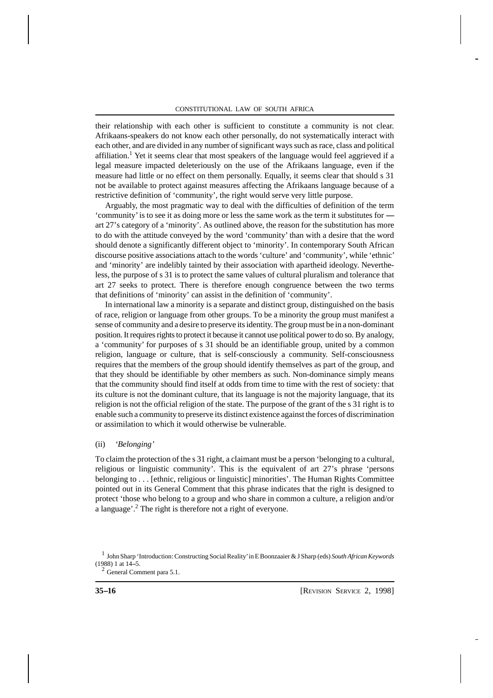their relationship with each other is sufficient to constitute a community is not clear. Afrikaans-speakers do not know each other personally, do not systematically interact with each other, and are divided in any number of significant ways such as race, class and political affiliation.<sup>1</sup> Yet it seems clear that most speakers of the language would feel aggrieved if a legal measure impacted deleteriously on the use of the Afrikaans language, even if the measure had little or no effect on them personally. Equally, it seems clear that should s 31 not be available to protect against measures affecting the Afrikaans language because of a restrictive definition of 'community', the right would serve very little purpose.

16 Arguably, the most pragmatic way to deal with the difficulties of definition of the term 'community' is to see it as doing more or less the same work as the term it substitutes for --- art 27's category of a 'minority'. As outlined above, the reason for the substitution has more to do with the attitude conveyed by the word 'community' than with a desire that the word should denote a significantly different object to 'minority'. In contemporary South African discourse positive associations attach to the words 'culture' and 'community', while 'ethnic' and 'minority' are indelibly tainted by their association with apartheid ideology. Nevertheless, the purpose of s 31 is to protect the same values of cultural pluralism and tolerance that art 27 seeks to protect. There is therefore enough congruence between the two terms that definitions of 'minority' can assist in the definition of 'community'.

In international law a minority is a separate and distinct group, distinguished on the basis of race, religion or language from other groups. To be a minority the group must manifest a sense of community and a desire to preserve its identity. The group must be in a non-dominant position. It requires rights to protect it because it cannot use political power to do so. By analogy, a 'community' for purposes of s 31 should be an identifiable group, united by a common religion, language or culture, that is self-consciously a community. Self-consciousness requires that the members of the group should identify themselves as part of the group, and that they should be identifiable by other members as such. Non-dominance simply means that the community should find itself at odds from time to time with the rest of society: that its culture is not the dominant culture, that its language is not the majority language, that its religion is not the official religion of the state. The purpose of the grant of the s 31 right is to enable such a community to preserve its distinct existence against the forces of discrimination or assimilation to which it would otherwise be vulnerable.

## (ii) *'Belonging'*

To claim the protection of the s 31 right, a claimant must be a person 'belonging to a cultural, religious or linguistic community'. This is the equivalent of art 27's phrase 'persons belonging to . . . [ethnic, religious or linguistic] minorities'. The Human Rights Committee pointed out in its General Comment that this phrase indicates that the right is designed to protect 'those who belong to a group and who share in common a culture, a religion and/or a language'.<sup>2</sup> The right is therefore not a right of everyone.

<sup>1</sup> John Sharp 'Introduction: Constructing Social Reality' in E Boonzaaier & J Sharp (eds) *South African Keywords*  $(1988)$  1 at  $14-5$ .

 $2$  General Comment para 5.1.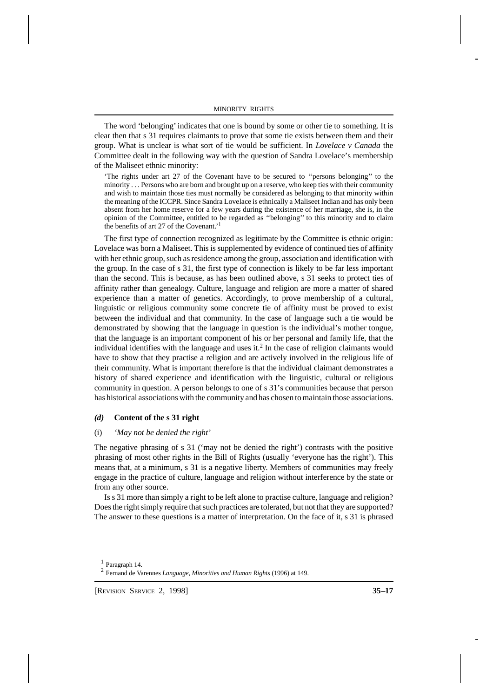The word 'belonging' indicates that one is bound by some or other tie to something. It is clear then that s 31 requires claimants to prove that some tie exists between them and their group. What is unclear is what sort of tie would be sufficient. In *Lovelace v Canada* the Committee dealt in the following way with the question of Sandra Lovelace's membership of the Maliseet ethnic minority:

'The rights under art 27 of the Covenant have to be secured to ''persons belonging'' to the minority . . . Persons who are born and brought up on a reserve, who keep ties with their community and wish to maintain those ties must normally be considered as belonging to that minority within the meaning of the ICCPR. Since Sandra Lovelace is ethnically a Maliseet Indian and has only been absent from her home reserve for a few years during the existence of her marriage, she is, in the opinion of the Committee, entitled to be regarded as ''belonging'' to this minority and to claim the benefits of art 27 of the Covenant.' 1

The first type of connection recognized as legitimate by the Committee is ethnic origin: Lovelace was born a Maliseet. This is supplemented by evidence of continued ties of affinity with her ethnic group, such as residence among the group, association and identification with the group. In the case of s 31, the first type of connection is likely to be far less important than the second. This is because, as has been outlined above, s 31 seeks to protect ties of affinity rather than genealogy. Culture, language and religion are more a matter of shared experience than a matter of genetics. Accordingly, to prove membership of a cultural, linguistic or religious community some concrete tie of affinity must be proved to exist between the individual and that community. In the case of language such a tie would be demonstrated by showing that the language in question is the individual's mother tongue, that the language is an important component of his or her personal and family life, that the individual identifies with the language and uses it.<sup>2</sup> In the case of religion claimants would have to show that they practise a religion and are actively involved in the religious life of their community. What is important therefore is that the individual claimant demonstrates a history of shared experience and identification with the linguistic, cultural or religious community in question. A person belongs to one of s 31's communities because that person has historical associations with the community and has chosen to maintain those associations.

## *(d)* **Content of the s 31 right**

#### (i) *'May not be denied the right'*

The negative phrasing of s 31 ('may not be denied the right') contrasts with the positive phrasing of most other rights in the Bill of Rights (usually 'everyone has the right'). This means that, at a minimum, s 31 is a negative liberty. Members of communities may freely engage in the practice of culture, language and religion without interference by the state or from any other source.

Is s 31 more than simply a right to be left alone to practise culture, language and religion? Does the right simply require that such practices are tolerated, but not that they are supported? The answer to these questions is a matter of interpretation. On the face of it, s 31 is phrased

[REVISION SERVICE 2, 1998] **35--17**

<sup>1</sup> Paragraph 14.

<sup>2</sup> Fernand de Varennes *Language, Minorities and Human Rights* (1996) at 149.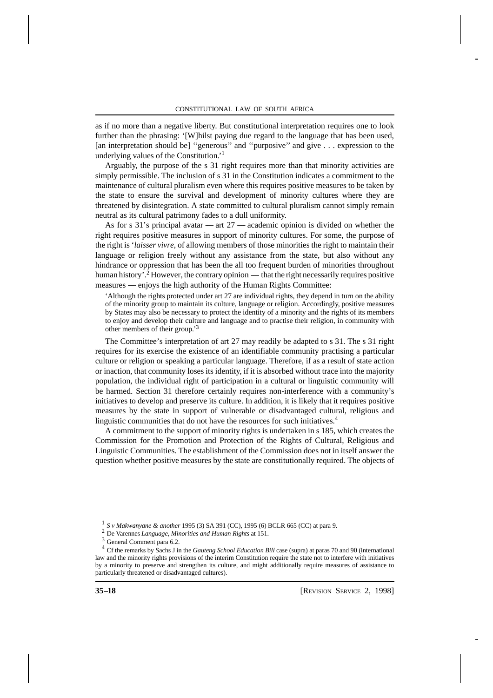as if no more than a negative liberty. But constitutional interpretation requires one to look further than the phrasing: '[W]hilst paying due regard to the language that has been used, [an interpretation should be] ''generous'' and ''purposive'' and give . . . expression to the underlying values of the Constitution.' 1

18 Arguably, the purpose of the s 31 right requires more than that minority activities are simply permissible. The inclusion of s 31 in the Constitution indicates a commitment to the maintenance of cultural pluralism even where this requires positive measures to be taken by the state to ensure the survival and development of minority cultures where they are threatened by disintegration. A state committed to cultural pluralism cannot simply remain neutral as its cultural patrimony fades to a dull uniformity.

As for s 31's principal avatar  $-$  art 27  $-$  academic opinion is divided on whether the right requires positive measures in support of minority cultures. For some, the purpose of the right is '*laisser vivre*, of allowing members of those minorities the right to maintain their language or religion freely without any assistance from the state, but also without any hindrance or oppression that has been the all too frequent burden of minorities throughout human history'.<sup>2</sup> However, the contrary opinion — that the right necessarily requires positive measures — enjoys the high authority of the Human Rights Committee:

'Although the rights protected under art 27 are individual rights, they depend in turn on the ability of the minority group to maintain its culture, language or religion. Accordingly, positive measures by States may also be necessary to protect the identity of a minority and the rights of its members to enjoy and develop their culture and language and to practise their religion, in community with other members of their group.' 3

The Committee's interpretation of art 27 may readily be adapted to s 31. The s 31 right requires for its exercise the existence of an identifiable community practising a particular culture or religion or speaking a particular language. Therefore, if as a result of state action or inaction, that community loses its identity, if it is absorbed without trace into the majority population, the individual right of participation in a cultural or linguistic community will be harmed. Section 31 therefore certainly requires non-interference with a community's initiatives to develop and preserve its culture. In addition, it is likely that it requires positive measures by the state in support of vulnerable or disadvantaged cultural, religious and linguistic communities that do not have the resources for such initiatives.<sup>4</sup>

A commitment to the support of minority rights is undertaken in s 185, which creates the Commission for the Promotion and Protection of the Rights of Cultural, Religious and Linguistic Communities. The establishment of the Commission does not in itself answer the question whether positive measures by the state are constitutionally required. The objects of

<sup>1</sup> *S v Makwanyane & another* 1995 (3) SA 391 (CC), 1995 (6) BCLR 665 (CC) at para 9.

<sup>2</sup> De Varennes *Language, Minorities and Human Rights* at 151.

<sup>3</sup> General Comment para 6.2.

<sup>4</sup> Cf the remarks by Sachs J in the *Gauteng School Education Bill* case (supra) at paras 70 and 90 (international law and the minority rights provisions of the interim Constitution require the state not to interfere with initiatives by a minority to preserve and strengthen its culture, and might additionally require measures of assistance to particularly threatened or disadvantaged cultures).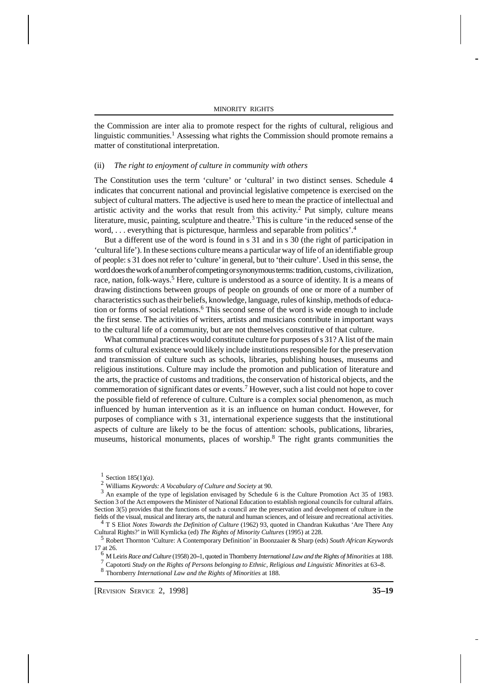the Commission are inter alia to promote respect for the rights of cultural, religious and linguistic communities.<sup>1</sup> Assessing what rights the Commission should promote remains a matter of constitutional interpretation.

#### (ii) *The right to enjoyment of culture in community with others*

The Constitution uses the term 'culture' or 'cultural' in two distinct senses. Schedule 4 indicates that concurrent national and provincial legislative competence is exercised on the subject of cultural matters. The adjective is used here to mean the practice of intellectual and artistic activity and the works that result from this activity. 2 Put simply, culture means literature, music, painting, sculpture and theatre.<sup>3</sup> This is culture 'in the reduced sense of the word, . . . everything that is picturesque, harmless and separable from politics'.<sup>4</sup>

19 But a different use of the word is found in s 31 and in s 30 (the right of participation in 'cultural life'). In these sections culture means a particular way of life of an identifiable group of people: s 31 does not refer to 'culture' in general, but to 'their culture'. Used in this sense, the word does the work of a number of competing or synonymous terms: tradition, customs, civilization, race, nation, folk-ways.<sup>5</sup> Here, culture is understood as a source of identity. It is a means of drawing distinctions between groups of people on grounds of one or more of a number of characteristics such as their beliefs, knowledge, language, rules of kinship, methods of education or forms of social relations.<sup>6</sup> This second sense of the word is wide enough to include the first sense. The activities of writers, artists and musicians contribute in important ways to the cultural life of a community, but are not themselves constitutive of that culture.

What communal practices would constitute culture for purposes of s 31? A list of the main forms of cultural existence would likely include institutions responsible for the preservation and transmission of culture such as schools, libraries, publishing houses, museums and religious institutions. Culture may include the promotion and publication of literature and the arts, the practice of customs and traditions, the conservation of historical objects, and the commemoration of significant dates or events.<sup>7</sup> However, such a list could not hope to cover the possible field of reference of culture. Culture is a complex social phenomenon, as much influenced by human intervention as it is an influence on human conduct. However, for purposes of compliance with s 31, international experience suggests that the institutional aspects of culture are likely to be the focus of attention: schools, publications, libraries, museums, historical monuments, places of worship.<sup>8</sup> The right grants communities the

<sup>&</sup>lt;sup>1</sup> Section 185(1)(*a*).

<sup>2</sup> Williams *Keywords: A Vocabulary of Culture and Society* at 90.

<sup>3</sup> An example of the type of legislation envisaged by Schedule 6 is the Culture Promotion Act 35 of 1983. Section 3 of the Act empowers the Minister of National Education to establish regional councils for cultural affairs. Section 3(5) provides that the functions of such a council are the preservation and development of culture in the fields of the visual, musical and literary arts, the natural and human sciences, and of leisure and recreational activities.

<sup>4</sup> T S Eliot *Notes Towards the Definition of Culture* (1962) 93, quoted in Chandran Kukuthas 'Are There Any Cultural Rights?' in Will Kymlicka (ed) *The Rights of Minority Cultures* (1995) at 228.

<sup>5</sup> Robert Thornton 'Culture: A Contemporary Definition' in Boonzaaier & Sharp (eds) *South African Keywords* 17 at 26.

<sup>&</sup>lt;sup>6</sup> M Leiris *Race and Culture* (1958) 20-1, quoted in Thornberry *International Law and the Rights of Minorities* at 188.

<sup>7</sup> Capotorti *Study on the Rights of Persons belonging to Ethnic, Religious and Linguistic Minorities* at 63--8.

<sup>8</sup> Thornberry *International Law and the Rights of Minorities* at 188.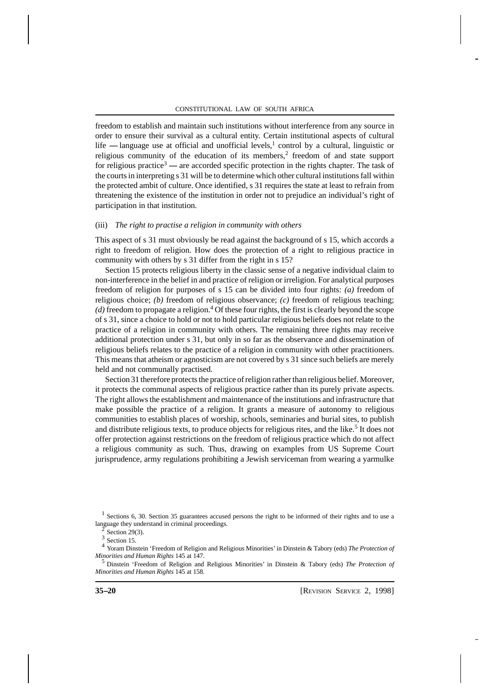freedom to establish and maintain such institutions without interference from any source in order to ensure their survival as a cultural entity. Certain institutional aspects of cultural life  $-$  language use at official and unofficial levels,<sup>1</sup> control by a cultural, linguistic or religious community of the education of its members,<sup>2</sup> freedom of and state support for religious practice<sup>3</sup> — are accorded specific protection in the rights chapter. The task of the courts in interpreting s 31 will be to determine which other cultural institutions fall within the protected ambit of culture. Once identified, s 31 requires the state at least to refrain from threatening the existence of the institution in order not to prejudice an individual's right of participation in that institution.

#### (iii) *The right to practise a religion in community with others*

This aspect of s 31 must obviously be read against the background of s 15, which accords a right to freedom of religion. How does the protection of a right to religious practice in community with others by s 31 differ from the right in s 15?

Section 15 protects religious liberty in the classic sense of a negative individual claim to non-interference in the belief in and practice of religion or irreligion. For analytical purposes freedom of religion for purposes of s 15 can be divided into four rights: *(a)* freedom of religious choice; *(b)* freedom of religious observance; *(c)* freedom of religious teaching;  $(d)$  freedom to propagate a religion.<sup>4</sup> Of these four rights, the first is clearly beyond the scope of s 31, since a choice to hold or not to hold particular religious beliefs does not relate to the practice of a religion in community with others. The remaining three rights may receive additional protection under s 31, but only in so far as the observance and dissemination of religious beliefs relates to the practice of a religion in community with other practitioners. This means that atheism or agnosticism are not covered by s 31 since such beliefs are merely held and not communally practised.

Section 31 therefore protects the practice of religion rather than religious belief. Moreover, it protects the communal aspects of religious practice rather than its purely private aspects. The right allows the establishment and maintenance of the institutions and infrastructure that make possible the practice of a religion. It grants a measure of autonomy to religious communities to establish places of worship, schools, seminaries and burial sites, to publish and distribute religious texts, to produce objects for religious rites, and the like.<sup>5</sup> It does not offer protection against restrictions on the freedom of religious practice which do not affect a religious community as such. Thus, drawing on examples from US Supreme Court jurisprudence, army regulations prohibiting a Jewish serviceman from wearing a yarmulke

<sup>5</sup> Dinstein 'Freedom of Religion and Religious Minorities' in Dinstein & Tabory (eds) *The Protection of Minorities and Human Rights* 145 at 158.

<sup>1</sup> Sections 6, 30. Section 35 guarantees accused persons the right to be informed of their rights and to use a language they understand in criminal proceedings.

 $\frac{2}{\pi}$  Section 29(3).

 $3$  Section 15.

<sup>4</sup> Yoram Dinstein 'Freedom of Religion and Religious Minorities' in Dinstein & Tabory (eds) *The Protection of Minorities and Human Rights* 145 at 147.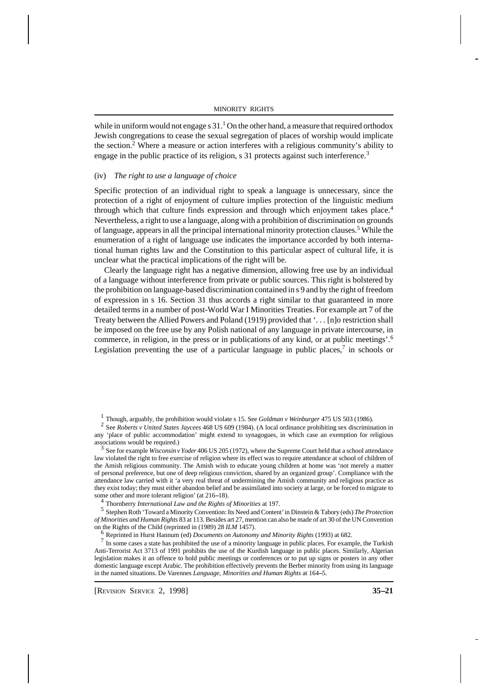while in uniform would not engage s  $31<sup>1</sup>$  On the other hand, a measure that required orthodox Jewish congregations to cease the sexual segregation of places of worship would implicate the section.<sup>2</sup> Where a measure or action interferes with a religious community's ability to engage in the public practice of its religion, s 31 protects against such interference.<sup>3</sup>

## (iv) *The right to use a language of choice*

Specific protection of an individual right to speak a language is unnecessary, since the protection of a right of enjoyment of culture implies protection of the linguistic medium through which that culture finds expression and through which enjoyment takes place.<sup>4</sup> Nevertheless, a right to use a language, along with a prohibition of discrimination on grounds of language, appears in all the principal international minority protection clauses.<sup>5</sup> While the enumeration of a right of language use indicates the importance accorded by both international human rights law and the Constitution to this particular aspect of cultural life, it is unclear what the practical implications of the right will be.

Clearly the language right has a negative dimension, allowing free use by an individual of a language without interference from private or public sources. This right is bolstered by the prohibition on language-based discrimination contained in s 9 and by the right of freedom of expression in s 16. Section 31 thus accords a right similar to that guaranteed in more detailed terms in a number of post-World War I Minorities Treaties. For example art 7 of the Treaty between the Allied Powers and Poland (1919) provided that '. . . [n]o restriction shall be imposed on the free use by any Polish national of any language in private intercourse, in commerce, in religion, in the press or in publications of any kind, or at public meetings'.<sup>6</sup> Legislation preventing the use of a particular language in public places, $\frac{7}{1}$  in schools or

3 See for example *Wisconsin v Yoder* 406 US 205 (1972), where the Supreme Court held that a school attendance law violated the right to free exercise of religion where its effect was to require attendance at school of children of the Amish religious community. The Amish wish to educate young children at home was 'not merely a matter of personal preference, but one of deep religious conviction, shared by an organized group'. Compliance with the attendance law carried with it 'a very real threat of undermining the Amish community and religious practice as they exist today; they must either abandon belief and be assimilated into society at large, or be forced to migrate to some other and more tolerant religion' (at 216-18).

4 Thornberry *International Law and the Rights of Minorities* at 197.

5 Stephen Roth 'Toward a Minority Convention: Its Need and Content' in Dinstein & Tabory (eds) *The Protection of Minorities and Human Rights* 83 at 113. Besides art 27, mention can also be made of art 30 of the UN Convention on the Rights of the Child (reprinted in (1989) 28 *ILM* 1457).

<sup>6</sup> Reprinted in Hurst Hannum (ed) *Documents on Autonomy and Minority Rights* (1993) at 682.

 $<sup>7</sup>$  In some cases a state has prohibited the use of a minority language in public places. For example, the Turkish</sup> Anti-Terrorist Act 3713 of 1991 prohibits the use of the Kurdish language in public places. Similarly, Algerian legislation makes it an offence to hold public meetings or conferences or to put up signs or posters in any other domestic language except Arabic. The prohibition effectively prevents the Berber minority from using its language in the named situations. De Varennes *Language, Minorities and Human Rights* at 164–5.

<sup>&</sup>lt;sup>1</sup> Though, arguably, the prohibition would violate s 15. See *Goldman v Weinburger* 475 US 503 (1986).<br><sup>2</sup> See *Roberts v United States Inveges* 468 US 609 (1984). (A local ordinance prohibiting sex discrimin

See *Roberts v United States Jaycees* 468 US 609 (1984). (A local ordinance prohibiting sex discrimination in any 'place of public accommodation' might extend to synagogues, in which case an exemption for religious associations would be required.)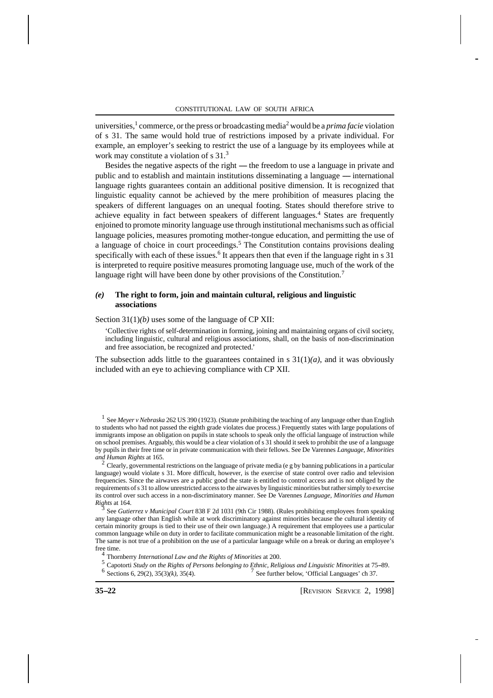universities,<sup>1</sup> commerce, or the press or broadcasting media<sup>2</sup> would be a *prima facie* violation of s 31. The same would hold true of restrictions imposed by a private individual. For example, an employer's seeking to restrict the use of a language by its employees while at work may constitute a violation of s 31.<sup>3</sup>

Besides the negative aspects of the right ----- the freedom to use a language in private and public and to establish and maintain institutions disseminating a language  $-$  international language rights guarantees contain an additional positive dimension. It is recognized that linguistic equality cannot be achieved by the mere prohibition of measures placing the speakers of different languages on an unequal footing. States should therefore strive to achieve equality in fact between speakers of different languages.<sup>4</sup> States are frequently enjoined to promote minority language use through institutional mechanisms such as official language policies, measures promoting mother-tongue education, and permitting the use of a language of choice in court proceedings.<sup>5</sup> The Constitution contains provisions dealing specifically with each of these issues.<sup>6</sup> It appears then that even if the language right in s 31 is interpreted to require positive measures promoting language use, much of the work of the language right will have been done by other provisions of the Constitution.<sup>7</sup>

## *(e)* **The right to form, join and maintain cultural, religious and linguistic associations**

Section 31(1)*(b)* uses some of the language of CP XII:

'Collective rights of self-determination in forming, joining and maintaining organs of civil society, including linguistic, cultural and religious associations, shall, on the basis of non-discrimination and free association, be recognized and protected.'

The subsection adds little to the guarantees contained in s  $31(1)(a)$ , and it was obviously included with an eye to achieving compliance with CP XII.

<sup>1</sup> See *Meyer v Nebraska* 262 US 390 (1923). (Statute prohibiting the teaching of any language other than English to students who had not passed the eighth grade violates due process.) Frequently states with large populations of immigrants impose an obligation on pupils in state schools to speak only the official language of instruction while on school premises. Arguably, this would be a clear violation of s 31 should it seek to prohibit the use of a language by pupils in their free time or in private communication with their fellows. See De Varennes *Language, Minorities and Human Rights* at 165.

<sup>2</sup> Clearly, governmental restrictions on the language of private media (e g by banning publications in a particular language) would violate s 31. More difficult, however, is the exercise of state control over radio and television frequencies. Since the airwaves are a public good the state is entitled to control access and is not obliged by the requirements of s 31 to allow unrestricted access to the airwaves by linguistic minorities but rather simply to exercise its control over such access in a non-discriminatory manner. See De Varennes *Language, Minorities and Human Rights* at 164.<br>See *Cutie* 

See *Gutierrez v Municipal Court* 838 F 2d 1031 (9th Cir 1988). (Rules prohibiting employees from speaking any language other than English while at work discriminatory against minorities because the cultural identity of certain minority groups is tied to their use of their own language.) A requirement that employees use a particular common language while on duty in order to facilitate communication might be a reasonable limitation of the right. The same is not true of a prohibition on the use of a particular language while on a break or during an employee's free time.

4 Thornberry *International Law and the Rights of Minorities* at 200.

- <sup>5</sup> Capotorti *Study on the Rights of Persons belonging to Ethnic, Religious and Linguistic Minorities at 75–89.*<br><sup>6</sup> Sections 6, 29(2), 35(3)(*k*), 35(4). <sup>7</sup> See further below, 'Official Languages' ch 37.
- See further below, 'Official Languages' ch 37.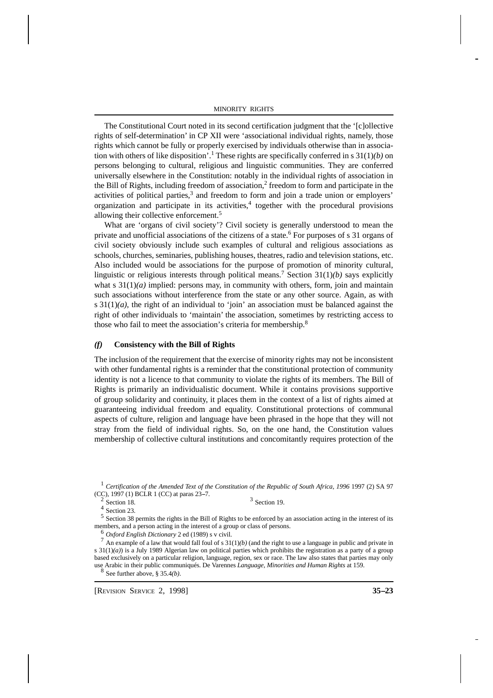The Constitutional Court noted in its second certification judgment that the '[c]ollective rights of self-determination' in CP XII were 'associational individual rights, namely, those rights which cannot be fully or properly exercised by individuals otherwise than in association with others of like disposition'.<sup>1</sup> These rights are specifically conferred in s 31(1)*(b)* on persons belonging to cultural, religious and linguistic communities. They are conferred universally elsewhere in the Constitution: notably in the individual rights of association in the Bill of Rights, including freedom of association,<sup>2</sup> freedom to form and participate in the activities of political parties,<sup>3</sup> and freedom to form and join a trade union or employers' organization and participate in its activities,<sup>4</sup> together with the procedural provisions allowing their collective enforcement.<sup>5</sup>

What are 'organs of civil society'? Civil society is generally understood to mean the private and unofficial associations of the citizens of a state.<sup>6</sup> For purposes of s 31 organs of civil society obviously include such examples of cultural and religious associations as schools, churches, seminaries, publishing houses, theatres, radio and television stations, etc. Also included would be associations for the purpose of promotion of minority cultural, linguistic or religious interests through political means.<sup>7</sup> Section 31(1)*(b)* says explicitly what s  $31(1)(a)$  implied: persons may, in community with others, form, join and maintain such associations without interference from the state or any other source. Again, as with s  $31(1)(a)$ , the right of an individual to 'join' an association must be balanced against the right of other individuals to 'maintain' the association, sometimes by restricting access to those who fail to meet the association's criteria for membership.<sup>8</sup>

#### *(f)* **Consistency with the Bill of Rights**

The inclusion of the requirement that the exercise of minority rights may not be inconsistent with other fundamental rights is a reminder that the constitutional protection of community identity is not a licence to that community to violate the rights of its members. The Bill of Rights is primarily an individualistic document. While it contains provisions supportive of group solidarity and continuity, it places them in the context of a list of rights aimed at guaranteeing individual freedom and equality. Constitutional protections of communal aspects of culture, religion and language have been phrased in the hope that they will not stray from the field of individual rights. So, on the one hand, the Constitution values membership of collective cultural institutions and concomitantly requires protection of the

<sup>1</sup> Certification of the Amended Text of the Constitution of the Republic of South Africa, 1996 1997 (2) SA 97 (CC), 1997 (1) BCLR 1 (CC) at paras 23–7.<br>
<sup>2</sup> Section 18.  $3$  Section 19.

 $\frac{4}{3}$  Section 23.

<sup>5</sup> Section 38 permits the rights in the Bill of Rights to be enforced by an association acting in the interest of its members, and a person acting in the interest of a group or class of persons.

<sup>6</sup> *Oxford English Dictionary* 2 ed (1989) s v civil.

 $^7$  An example of a law that would fall foul of s  $31(1)/b$ ) (and the right to use a language in public and private in s 31(1)*(a)*) is a July 1989 Algerian law on political parties which prohibits the registration as a party of a group based exclusively on a particular religion, language, region, sex or race. The law also states that parties may only use Arabic in their public communiqués. De Varennes *Language, Minorities and Human Rights* at 159.

8 See further above, § 35.4*(b)*.

[REVISION SERVICE 2, 1998] **35--23**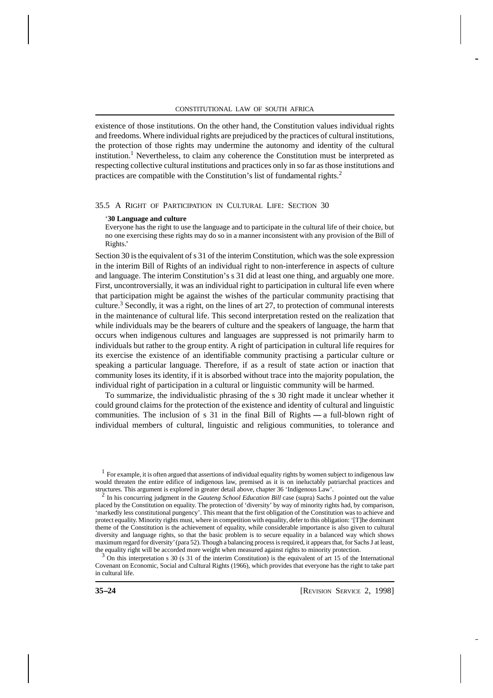existence of those institutions. On the other hand, the Constitution values individual rights and freedoms. Where individual rights are prejudiced by the practices of cultural institutions, the protection of those rights may undermine the autonomy and identity of the cultural institution.<sup>1</sup> Nevertheless, to claim any coherence the Constitution must be interpreted as respecting collective cultural institutions and practices only in so far as those institutions and practices are compatible with the Constitution's list of fundamental rights.<sup>2</sup>

## 35.5 A RIGHT OF PARTICIPATION IN CULTURAL LIFE: SECTION 30

#### '**30 Language and culture**

Everyone has the right to use the language and to participate in the cultural life of their choice, but no one exercising these rights may do so in a manner inconsistent with any provision of the Bill of Rights.'

Section 30 is the equivalent of  $s$  31 of the interim Constitution, which was the sole expression in the interim Bill of Rights of an individual right to non-interference in aspects of culture and language. The interim Constitution's s 31 did at least one thing, and arguably one more. First, uncontroversially, it was an individual right to participation in cultural life even where that participation might be against the wishes of the particular community practising that culture.<sup>3</sup> Secondly, it was a right, on the lines of art 27, to protection of communal interests in the maintenance of cultural life. This second interpretation rested on the realization that while individuals may be the bearers of culture and the speakers of language, the harm that occurs when indigenous cultures and languages are suppressed is not primarily harm to individuals but rather to the group entity. A right of participation in cultural life requires for its exercise the existence of an identifiable community practising a particular culture or speaking a particular language. Therefore, if as a result of state action or inaction that community loses its identity, if it is absorbed without trace into the majority population, the individual right of participation in a cultural or linguistic community will be harmed.

To summarize, the individualistic phrasing of the s 30 right made it unclear whether it could ground claims for the protection of the existence and identity of cultural and linguistic communities. The inclusion of  $s$  31 in the final Bill of Rights  $-$  a full-blown right of individual members of cultural, linguistic and religious communities, to tolerance and

 $3$  On this interpretation s 30 (s 31 of the interim Constitution) is the equivalent of art 15 of the International Covenant on Economic, Social and Cultural Rights (1966), which provides that everyone has the right to take part in cultural life.

 $<sup>1</sup>$  For example, it is often argued that assertions of individual equality rights by women subject to indigenous law</sup> would threaten the entire edifice of indigenous law, premised as it is on ineluctably patriarchal practices and structures. This argument is explored in greater detail above, chapter 36 'Indigenous Law'.

<sup>2</sup> In his concurring judgment in the *Gauteng School Education Bill* case (supra) Sachs J pointed out the value placed by the Constitution on equality. The protection of 'diversity' by way of minority rights had, by comparison, 'markedly less constitutional pungency'. This meant that the first obligation of the Constitution was to achieve and protect equality. Minority rights must, where in competition with equality, defer to this obligation: '[T]he dominant theme of the Constitution is the achievement of equality, while considerable importance is also given to cultural diversity and language rights, so that the basic problem is to secure equality in a balanced way which shows maximum regard for diversity' (para 52). Though a balancing process is required, it appears that, for Sachs J at least, the equality right will be accorded more weight when measured against rights to minority protection.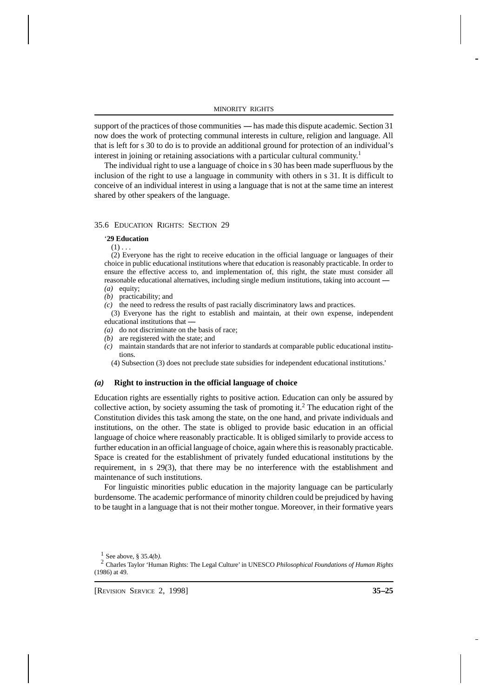support of the practices of those communities --- has made this dispute academic. Section 31 now does the work of protecting communal interests in culture, religion and language. All that is left for s 30 to do is to provide an additional ground for protection of an individual's interest in joining or retaining associations with a particular cultural community. 1

25 The individual right to use a language of choice in s 30 has been made superfluous by the inclusion of the right to use a language in community with others in s 31. It is difficult to conceive of an individual interest in using a language that is not at the same time an interest shared by other speakers of the language.

## 35.6 EDUCATION RIGHTS: SECTION 29

#### '**29 Education**

 $(1)$  . . .

 (2) Everyone has the right to receive education in the official language or languages of their choice in public educational institutions where that education is reasonably practicable. In order to ensure the effective access to, and implementation of, this right, the state must consider all reasonable educational alternatives, including single medium institutions, taking into account --*(a)* equity;

- *(b)* practicability; and
- *(c)* the need to redress the results of past racially discriminatory laws and practices.

 (3) Everyone has the right to establish and maintain, at their own expense, independent educational institutions that -

- *(a)* do not discriminate on the basis of race;
- *(b)* are registered with the state; and
- *(c)* maintain standards that are not inferior to standards at comparable public educational institutions.

(4) Subsection (3) does not preclude state subsidies for independent educational institutions.'

#### *(a)* **Right to instruction in the official language of choice**

Education rights are essentially rights to positive action. Education can only be assured by collective action, by society assuming the task of promoting it.<sup>2</sup> The education right of the Constitution divides this task among the state, on the one hand, and private individuals and institutions, on the other. The state is obliged to provide basic education in an official language of choice where reasonably practicable. It is obliged similarly to provide access to further education in an official language of choice, again where this is reasonably practicable. Space is created for the establishment of privately funded educational institutions by the requirement, in s 29(3), that there may be no interference with the establishment and maintenance of such institutions.

For linguistic minorities public education in the majority language can be particularly burdensome. The academic performance of minority children could be prejudiced by having to be taught in a language that is not their mother tongue. Moreover, in their formative years

 $\frac{1}{2}$  See above, § 35.4(*b*).

<sup>2</sup> Charles Taylor 'Human Rights: The Legal Culture' in UNESCO *Philosophical Foundations of Human Rights* (1986) at 49.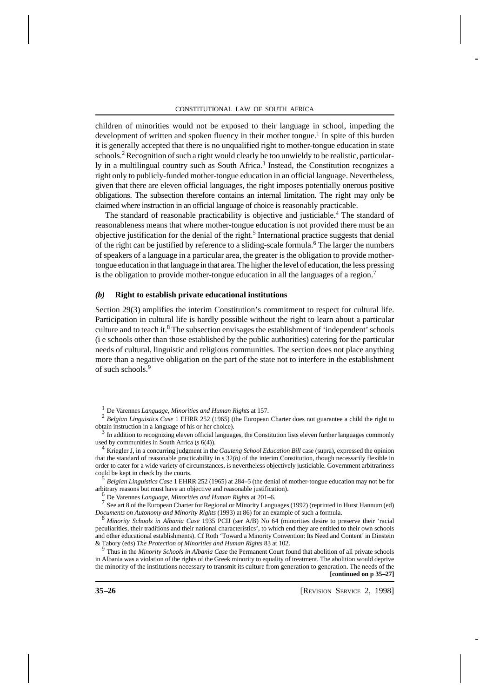children of minorities would not be exposed to their language in school, impeding the development of written and spoken fluency in their mother tongue.<sup>1</sup> In spite of this burden it is generally accepted that there is no unqualified right to mother-tongue education in state schools.<sup>2</sup> Recognition of such a right would clearly be too unwieldy to be realistic, particularly in a multilingual country such as South Africa.<sup>3</sup> Instead, the Constitution recognizes a right only to publicly-funded mother-tongue education in an official language. Nevertheless, given that there are eleven official languages, the right imposes potentially onerous positive obligations. The subsection therefore contains an internal limitation. The right may only be claimed where instruction in an official language of choice is reasonably practicable.

The standard of reasonable practicability is objective and justiciable.<sup>4</sup> The standard of reasonableness means that where mother-tongue education is not provided there must be an objective justification for the denial of the right.<sup>5</sup> International practice suggests that denial of the right can be justified by reference to a sliding-scale formula.<sup>6</sup> The larger the numbers of speakers of a language in a particular area, the greater is the obligation to provide mothertongue education in that language in that area. The higher the level of education, the less pressing is the obligation to provide mother-tongue education in all the languages of a region.<sup>7</sup>

## *(b)* **Right to establish private educational institutions**

Section 29(3) amplifies the interim Constitution's commitment to respect for cultural life. Participation in cultural life is hardly possible without the right to learn about a particular culture and to teach it.<sup>8</sup> The subsection envisages the establishment of 'independent' schools (i e schools other than those established by the public authorities) catering for the particular needs of cultural, linguistic and religious communities. The section does not place anything more than a negative obligation on the part of the state not to interfere in the establishment of such schools.<sup>9</sup>

5 *Belgian Linguistics Case* 1 EHRR 252 (1965) at 284-5 (the denial of mother-tongue education may not be for arbitrary reasons but must have an objective and reasonable justification).

<sup>6</sup> De Varennes *Language, Minorities and Human Rights* at 201--6.

<sup>7</sup> See art 8 of the European Charter for Regional or Minority Languages (1992) (reprinted in Hurst Hannum (ed) *Documents on Autonomy and Minority Rights* (1993) at 86) for an example of such a formula.

<sup>8</sup> *Minority Schools in Albania Case* 1935 PCIJ (ser A/B) No 64 (minorities desire to preserve their 'racial peculiarities, their traditions and their national characteristics', to which end they are entitled to their own schools and other educational establishments). Cf Roth 'Toward a Minority Convention: Its Need and Content' in Dinstein & Tabory (eds) *The Protection of Minorities and Human Rights* 83 at 102.

<sup>9</sup> Thus in the *Minority Schools in Albania Case* the Permanent Court found that abolition of all private schools in Albania was a violation of the rights of the Greek minority to equality of treatment. The abolition would deprive the minority of the institutions necessary to transmit its culture from generation to generation. The needs of the **[continued on p 35--27]**

<sup>1</sup> De Varennes *Language, Minorities and Human Rights* at 157.

<sup>2</sup> *Belgian Linguistics Case* 1 EHRR 252 (1965) (the European Charter does not guarantee a child the right to obtain instruction in a language of his or her choice).

<sup>3</sup> In addition to recognizing eleven official languages, the Constitution lists eleven further languages commonly used by communities in South Africa (s 6(4)).

<sup>4</sup> Kriegler J, in a concurring judgment in the *Gauteng School Education Bill* case (supra), expressed the opinion that the standard of reasonable practicability in s  $32(b)$  of the interim Constitution, though necessarily flexible in order to cater for a wide variety of circumstances, is nevertheless objectively justiciable. Government arbitrariness could be kept in check by the courts.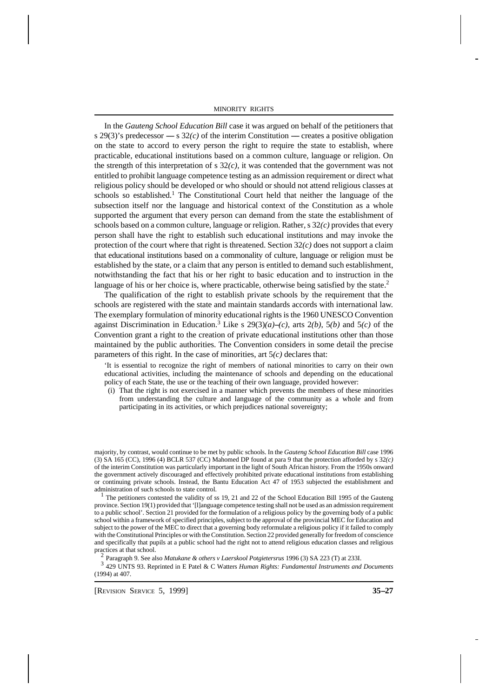In the *Gauteng School Education Bill* case it was argued on behalf of the petitioners that s 29(3)'s predecessor  $-$  s 32(c) of the interim Constitution  $-$  creates a positive obligation on the state to accord to every person the right to require the state to establish, where practicable, educational institutions based on a common culture, language or religion. On the strength of this interpretation of s 32*(c)*, it was contended that the government was not entitled to prohibit language competence testing as an admission requirement or direct what religious policy should be developed or who should or should not attend religious classes at schools so established.<sup>1</sup> The Constitutional Court held that neither the language of the subsection itself nor the language and historical context of the Constitution as a whole supported the argument that every person can demand from the state the establishment of schools based on a common culture, language or religion. Rather, s 32*(c)* provides that every person shall have the right to establish such educational institutions and may invoke the protection of the court where that right is threatened. Section  $32(c)$  does not support a claim that educational institutions based on a commonality of culture, language or religion must be established by the state, or a claim that any person is entitled to demand such establishment, notwithstanding the fact that his or her right to basic education and to instruction in the language of his or her choice is, where practicable, otherwise being satisfied by the state.<sup>2</sup>

27 The qualification of the right to establish private schools by the requirement that the schools are registered with the state and maintain standards accords with international law. The exemplary formulation of minority educational rights is the 1960 UNESCO Convention against Discrimination in Education.<sup>3</sup> Like s  $29(3)(a)$ –*(c)*, arts 2*(b)*, 5*(b)* and 5*(c)* of the Convention grant a right to the creation of private educational institutions other than those maintained by the public authorities. The Convention considers in some detail the precise parameters of this right. In the case of minorities, art 5*(c)* declares that:

'It is essential to recognize the right of members of national minorities to carry on their own educational activities, including the maintenance of schools and depending on the educational policy of each State, the use or the teaching of their own language, provided however:

 (i) That the right is not exercised in a manner which prevents the members of these minorities from understanding the culture and language of the community as a whole and from participating in its activities, or which prejudices national sovereignty;

majority, by contrast, would continue to be met by public schools. In the *Gauteng School Education Bill* case 1996 (3) SA 165 (CC), 1996 (4) BCLR 537 (CC) Mahomed DP found at para 9 that the protection afforded by s 32*(c)* of the interim Constitution was particularly important in the light of South African history. From the 1950s onward the government actively discouraged and effectively prohibited private educational institutions from establishing or continuing private schools. Instead, the Bantu Education Act 47 of 1953 subjected the establishment and administration of such schools to state control.

<sup>1</sup> The petitioners contested the validity of ss 19, 21 and 22 of the School Education Bill 1995 of the Gauteng province. Section 19(1) provided that '[l]anguage competence testing shall not be used as an admission requirement to a public school'. Section 21 provided for the formulation of a religious policy by the governing body of a public school within a framework of specified principles, subject to the approval of the provincial MEC for Education and subject to the power of the MEC to direct that a governing body reformulate a religious policy if it failed to comply with the Constitutional Principles or with the Constitution. Section 22 provided generally for freedom of conscience and specifically that pupils at a public school had the right not to attend religious education classes and religious practices at that school.

2 Paragraph 9. See also *Matukane & others v Laerskool Potgietersrus* 1996 (3) SA 223 (T) at 233I.

3 429 UNTS 93. Reprinted in E Patel & C Watters *Human Rights: Fundamental Instruments and Documents* (1994) at 407.

[REVISION SERVICE 5, 1999] **35--27**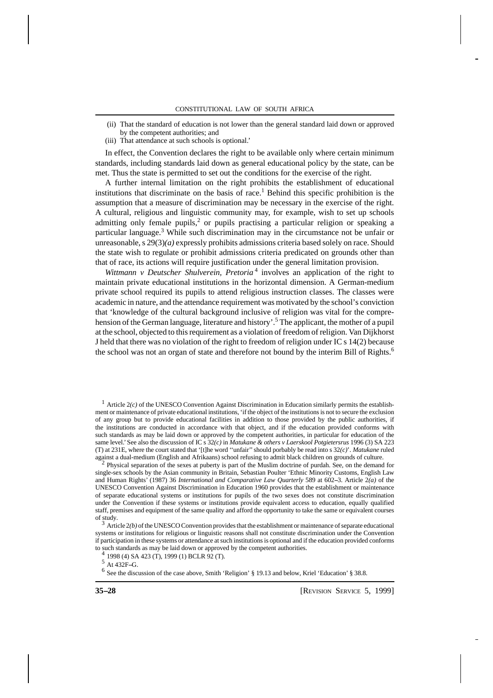- (ii) That the standard of education is not lower than the general standard laid down or approved by the competent authorities; and
- (iii) That attendance at such schools is optional.'

In effect, the Convention declares the right to be available only where certain minimum standards, including standards laid down as general educational policy by the state, can be met. Thus the state is permitted to set out the conditions for the exercise of the right.

28 A further internal limitation on the right prohibits the establishment of educational institutions that discriminate on the basis of race.<sup>1</sup> Behind this specific prohibition is the assumption that a measure of discrimination may be necessary in the exercise of the right. A cultural, religious and linguistic community may, for example, wish to set up schools admitting only female pupils,<sup>2</sup> or pupils practising a particular religion or speaking a particular language.<sup>3</sup> While such discrimination may in the circumstance not be unfair or unreasonable, s 29(3)*(a)* expressly prohibits admissions criteria based solely on race. Should the state wish to regulate or prohibit admissions criteria predicated on grounds other than that of race, its actions will require justification under the general limitation provision.

*Wittmann v Deutscher Shulverein, Pretoria*<sup>4</sup> involves an application of the right to maintain private educational institutions in the horizontal dimension. A German-medium private school required its pupils to attend religious instruction classes. The classes were academic in nature, and the attendance requirement was motivated by the school's conviction that 'knowledge of the cultural background inclusive of religion was vital for the comprehension of the German language, literature and history'.<sup>5</sup> The applicant, the mother of a pupil at the school, objected to this requirement as a violation of freedom of religion. Van Dijkhorst J held that there was no violation of the right to freedom of religion under IC s 14(2) because the school was not an organ of state and therefore not bound by the interim Bill of Rights.<sup>6</sup>

 $1$  Article  $2(c)$  of the UNESCO Convention Against Discrimination in Education similarly permits the establishment or maintenance of private educational institutions, 'if the object of the institutions is not to secure the exclusion of any group but to provide educational facilities in addition to those provided by the public authorities, if the institutions are conducted in accordance with that object, and if the education provided conforms with such standards as may be laid down or approved by the competent authorities, in particular for education of the same level.' See also the discussion of IC s 32*(c)* in *Matukane & others v Laerskool Potgietersrus* 1996 (3) SA 223 (T) at 231E, where the court stated that '[t]he word ''unfair'' should porbably be read into s 32*(c)*'. *Matukane* ruled against a dual-medium (English and Afrikaans) school refusing to admit black children on grounds of culture.<br><sup>2</sup> Physical separation of the sexes at puberty is part of the Muslim doctrine of purdah. See, on the demand

Physical separation of the sexes at puberty is part of the Muslim doctrine of purdah. See, on the demand for single-sex schools by the Asian community in Britain, Sebastian Poulter 'Ethnic Minority Customs, English Law and Human Rights' (1987) 36 *International and Comparative Law Quarterly* 589 at 602–3. Article 2(a) of the UNESCO Convention Against Discrimination in Education 1960 provides that the establishment or maintenance of separate educational systems or institutions for pupils of the two sexes does not constitute discrimination under the Convention if these systems or institutions provide equivalent access to education, equally qualified staff, premises and equipment of the same quality and afford the opportunity to take the same or equivalent courses of study.

Article 2(b) of the UNESCO Convention provides that the establishment or maintenance of separate educational systems or institutions for religious or linguistic reasons shall not constitute discrimination under the Convention if participation in these systems or attendance at such institutions is optional and if the education provided conforms to such standards as may be laid down or approved by the competent authorities.

4 1998 (4) SA 423 (T), 1999 (1) BCLR 92 (T).

 $^{\rm 5}$  At 432F–G.

<sup>&</sup>lt;sup>6</sup> See the discussion of the case above, Smith 'Religion' § 19.13 and below, Kriel 'Education' § 38.8.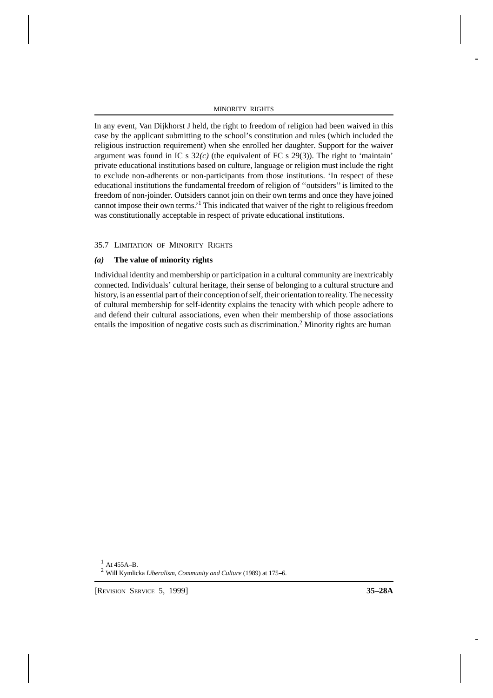In any event, Van Dijkhorst J held, the right to freedom of religion had been waived in this case by the applicant submitting to the school's constitution and rules (which included the religious instruction requirement) when she enrolled her daughter. Support for the waiver argument was found in IC s  $32(c)$  (the equivalent of FC s 29(3)). The right to 'maintain' private educational institutions based on culture, language or religion must include the right to exclude non-adherents or non-participants from those institutions. 'In respect of these educational institutions the fundamental freedom of religion of ''outsiders'' is limited to the freedom of non-joinder. Outsiders cannot join on their own terms and once they have joined cannot impose their own terms.' 1 This indicated that waiver of the right to religious freedom was constitutionally acceptable in respect of private educational institutions.

# 35.7 LIMITATION OF MINORITY RIGHTS

# *(a)* **The value of minority rights**

Individual identity and membership or participation in a cultural community are inextricably connected. Individuals' cultural heritage, their sense of belonging to a cultural structure and history, is an essential part of their conception of self, their orientation to reality. The necessity of cultural membership for self-identity explains the tenacity with which people adhere to and defend their cultural associations, even when their membership of those associations entails the imposition of negative costs such as discrimination.<sup>2</sup> Minority rights are human

 $^{1}$  At 455A-B.

<sup>2</sup> Will Kymlicka *Liberalism, Community and Culture* (1989) at 175-6.

[REVISION SERVICE 5, 1999] **35--28A**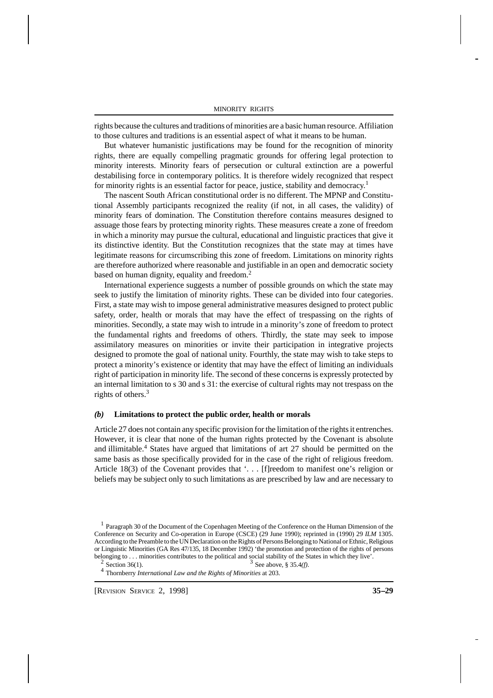rights because the cultures and traditions of minorities are a basic human resource. Affiliation to those cultures and traditions is an essential aspect of what it means to be human.

But whatever humanistic justifications may be found for the recognition of minority rights, there are equally compelling pragmatic grounds for offering legal protection to minority interests. Minority fears of persecution or cultural extinction are a powerful destabilising force in contemporary politics. It is therefore widely recognized that respect for minority rights is an essential factor for peace, justice, stability and democracy. 1

The nascent South African constitutional order is no different. The MPNP and Constitutional Assembly participants recognized the reality (if not, in all cases, the validity) of minority fears of domination. The Constitution therefore contains measures designed to assuage those fears by protecting minority rights. These measures create a zone of freedom in which a minority may pursue the cultural, educational and linguistic practices that give it its distinctive identity. But the Constitution recognizes that the state may at times have legitimate reasons for circumscribing this zone of freedom. Limitations on minority rights are therefore authorized where reasonable and justifiable in an open and democratic society based on human dignity, equality and freedom.<sup>2</sup>

International experience suggests a number of possible grounds on which the state may seek to justify the limitation of minority rights. These can be divided into four categories. First, a state may wish to impose general administrative measures designed to protect public safety, order, health or morals that may have the effect of trespassing on the rights of minorities. Secondly, a state may wish to intrude in a minority's zone of freedom to protect the fundamental rights and freedoms of others. Thirdly, the state may seek to impose assimilatory measures on minorities or invite their participation in integrative projects designed to promote the goal of national unity. Fourthly, the state may wish to take steps to protect a minority's existence or identity that may have the effect of limiting an individuals right of participation in minority life. The second of these concerns is expressly protected by an internal limitation to s 30 and s 31: the exercise of cultural rights may not trespass on the rights of others.<sup>3</sup>

#### *(b)* **Limitations to protect the public order, health or morals**

Article 27 does not contain any specific provision for the limitation of the rights it entrenches. However, it is clear that none of the human rights protected by the Covenant is absolute and illimitable.<sup>4</sup> States have argued that limitations of art 27 should be permitted on the same basis as those specifically provided for in the case of the right of religious freedom. Article 18(3) of the Covenant provides that '... [f]reedom to manifest one's religion or beliefs may be subject only to such limitations as are prescribed by law and are necessary to

<sup>&</sup>lt;sup>1</sup> Paragraph 30 of the Document of the Copenhagen Meeting of the Conference on the Human Dimension of the Conference on Security and Co-operation in Europe (CSCE) (29 June 1990); reprinted in (1990) 29 *ILM* 1305. According to the Preamble to the UN Declaration on the Rights of Persons Belonging to National or Ethnic, Religious or Linguistic Minorities (GA Res 47/135, 18 December 1992) 'the promotion and protection of the rights of persons belonging to . . . minorities contributes to the political and social stability of the States in which they live'.  $3$  See above, § 35.4*(f)*.

<sup>2</sup> Section  $36(1)$ .

<sup>4</sup> Thornberry *International Law and the Rights of Minorities* at 203.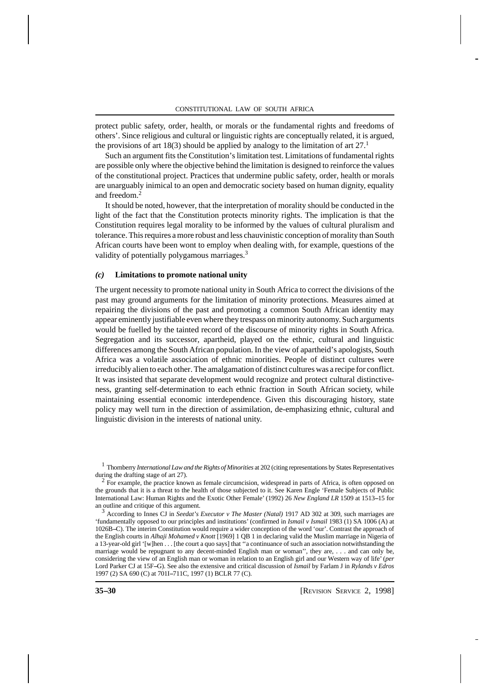protect public safety, order, health, or morals or the fundamental rights and freedoms of others'. Since religious and cultural or linguistic rights are conceptually related, it is argued, the provisions of art 18(3) should be applied by analogy to the limitation of art  $27<sup>1</sup>$ 

Such an argument fits the Constitution's limitation test. Limitations of fundamental rights are possible only where the objective behind the limitation is designed to reinforce the values of the constitutional project. Practices that undermine public safety, order, health or morals are unarguably inimical to an open and democratic society based on human dignity, equality and freedom.<sup>2</sup>

It should be noted, however, that the interpretation of morality should be conducted in the light of the fact that the Constitution protects minority rights. The implication is that the Constitution requires legal morality to be informed by the values of cultural pluralism and tolerance. This requires a more robust and less chauvinistic conception of morality than South African courts have been wont to employ when dealing with, for example, questions of the validity of potentially polygamous marriages.<sup>3</sup>

## *(c)* **Limitations to promote national unity**

The urgent necessity to promote national unity in South Africa to correct the divisions of the past may ground arguments for the limitation of minority protections. Measures aimed at repairing the divisions of the past and promoting a common South African identity may appear eminently justifiable even where they trespass on minority autonomy. Such arguments would be fuelled by the tainted record of the discourse of minority rights in South Africa. Segregation and its successor, apartheid, played on the ethnic, cultural and linguistic differences among the South African population. In the view of apartheid's apologists, South Africa was a volatile association of ethnic minorities. People of distinct cultures were irreducibly alien to each other. The amalgamation of distinct cultures was a recipe for conflict. It was insisted that separate development would recognize and protect cultural distinctiveness, granting self-determination to each ethnic fraction in South African society, while maintaining essential economic interdependence. Given this discouraging history, state policy may well turn in the direction of assimilation, de-emphasizing ethnic, cultural and linguistic division in the interests of national unity.

1 Thornberry *International Law and the Rights of Minorities* at 202 (citing representations by States Representatives

during the drafting stage of art 27).<br><sup>2</sup> For example, the practice known as female circumcision, widespread in parts of Africa, is often opposed on the grounds that it is a threat to the health of those subjected to it. See Karen Engle 'Female Subjects of Public International Law: Human Rights and the Exotic Other Female' (1992) 26 *New England LR* 1509 at 1513--15 for an outline and critique of this argument.

<sup>3</sup> According to Innes CJ in *Seedat's Executor v The Master (Natal)* 1917 AD 302 at 309, such marriages are 'fundamentally opposed to our principles and institutions' (confirmed in *Ismail v Ismail* 1983 (1) SA 1006 (A) at 1026B--C). The interim Constitution would require a wider conception of the word 'our'. Contrast the approach of the English courts in *Alhaji Mohamed v Knott* [1969] 1 QB 1 in declaring valid the Muslim marriage in Nigeria of a 13-year-old girl '[w]hen . . . [the court a quo says] that ''a continuance of such an association notwithstanding the marriage would be repugnant to any decent-minded English man or woman'', they are, . . . and can only be, considering the view of an English man or woman in relation to an English girl and our Western way of life' (*per* Lord Parker CJ at 15F-G). See also the extensive and critical discussion of *Ismail* by Farlam J in *Rylands v Edros* 1997 (2) SA 690 (C) at 701I-711C, 1997 (1) BCLR 77 (C).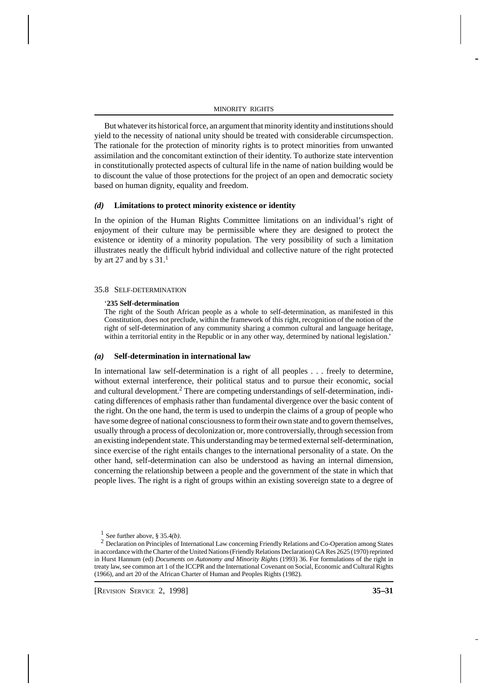But whatever its historical force, an argument that minority identity and institutions should yield to the necessity of national unity should be treated with considerable circumspection. The rationale for the protection of minority rights is to protect minorities from unwanted assimilation and the concomitant extinction of their identity. To authorize state intervention in constitutionally protected aspects of cultural life in the name of nation building would be to discount the value of those protections for the project of an open and democratic society based on human dignity, equality and freedom.

## *(d)* **Limitations to protect minority existence or identity**

In the opinion of the Human Rights Committee limitations on an individual's right of enjoyment of their culture may be permissible where they are designed to protect the existence or identity of a minority population. The very possibility of such a limitation illustrates neatly the difficult hybrid individual and collective nature of the right protected by art 27 and by s  $31.<sup>1</sup>$ 

## 35.8 SELF-DETERMINATION

#### '**235 Self-determination**

The right of the South African people as a whole to self-determination, as manifested in this Constitution, does not preclude, within the framework of this right, recognition of the notion of the right of self-determination of any community sharing a common cultural and language heritage, within a territorial entity in the Republic or in any other way, determined by national legislation.'

#### *(a)* **Self-determination in international law**

In international law self-determination is a right of all peoples . . . freely to determine, without external interference, their political status and to pursue their economic, social and cultural development.<sup>2</sup> There are competing understandings of self-determination, indicating differences of emphasis rather than fundamental divergence over the basic content of the right. On the one hand, the term is used to underpin the claims of a group of people who have some degree of national consciousness to form their own state and to govern themselves, usually through a process of decolonization or, more controversially, through secession from an existing independent state. This understanding may be termed external self-determination, since exercise of the right entails changes to the international personality of a state. On the other hand, self-determination can also be understood as having an internal dimension, concerning the relationship between a people and the government of the state in which that people lives. The right is a right of groups within an existing sovereign state to a degree of

 $\frac{1}{2}$  See further above, § 35.4(*b*).

<sup>&</sup>lt;sup>2</sup> Declaration on Principles of International Law concerning Friendly Relations and Co-Operation among States in accordance with the Charter of the United Nations (Friendly Relations Declaration) GA Res 2625 (1970) reprinted in Hurst Hannum (ed) *Documents on Autonomy and Minority Rights* (1993) 36. For formulations of the right in treaty law, see common art 1 of the ICCPR and the International Covenant on Social, Economic and Cultural Rights (1966), and art 20 of the African Charter of Human and Peoples Rights (1982).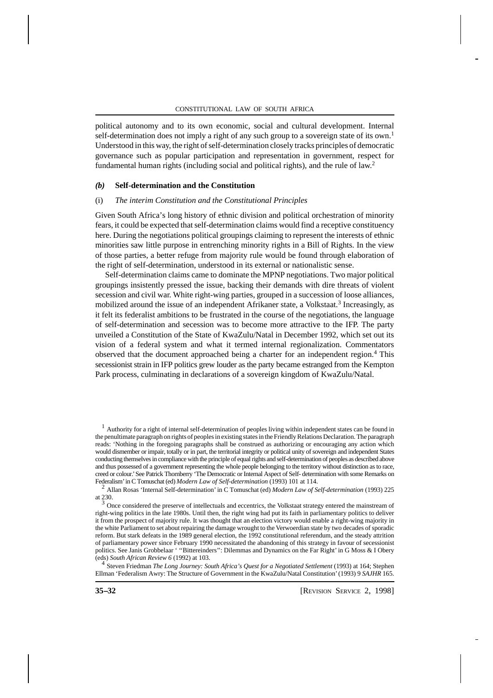political autonomy and to its own economic, social and cultural development. Internal self-determination does not imply a right of any such group to a sovereign state of its own.<sup>1</sup> Understood in this way, the right of self-determination closely tracks principles of democratic governance such as popular participation and representation in government, respect for fundamental human rights (including social and political rights), and the rule of law.<sup>2</sup>

## *(b)* **Self-determination and the Constitution**

#### (i) *The interim Constitution and the Constitutional Principles*

Given South Africa's long history of ethnic division and political orchestration of minority fears, it could be expected that self-determination claims would find a receptive constituency here. During the negotiations political groupings claiming to represent the interests of ethnic minorities saw little purpose in entrenching minority rights in a Bill of Rights. In the view of those parties, a better refuge from majority rule would be found through elaboration of the right of self-determination, understood in its external or nationalistic sense.

Self-determination claims came to dominate the MPNP negotiations. Two major political groupings insistently pressed the issue, backing their demands with dire threats of violent secession and civil war. White right-wing parties, grouped in a succession of loose alliances, mobilized around the issue of an independent Afrikaner state, a Volkstaat.<sup>3</sup> Increasingly, as it felt its federalist ambitions to be frustrated in the course of the negotiations, the language of self-determination and secession was to become more attractive to the IFP. The party unveiled a Constitution of the State of KwaZulu/Natal in December 1992, which set out its vision of a federal system and what it termed internal regionalization. Commentators observed that the document approached being a charter for an independent region.<sup>4</sup> This secessionist strain in IFP politics grew louder as the party became estranged from the Kempton Park process, culminating in declarations of a sovereign kingdom of KwaZulu/Natal.

<sup>2</sup> Allan Rosas 'Internal Self-determination' in C Tomuschat (ed) *Modern Law of Self-determination* (1993) 225

at 230.<br><sup>3</sup> Once considered the preserve of intellectuals and eccentrics, the Volkstaat strategy entered the mainstream of right-wing politics in the late 1980s. Until then, the right wing had put its faith in parliamentary politics to deliver it from the prospect of majority rule. It was thought that an election victory would enable a right-wing majority in the white Parliament to set about repairing the damage wrought to the Verwoerdian state by two decades of sporadic reform. But stark defeats in the 1989 general election, the 1992 constitutional referendum, and the steady attrition of parliamentary power since February 1990 necessitated the abandoning of this strategy in favour of secessionist politics. See Janis Grobbelaar ' ''Bittereinders'': Dilemmas and Dynamics on the Far Right' in G Moss & I Obery (eds) *South African Review 6* (1992) at 103.

4 Steven Friedman *The Long Journey: South Africa's Quest for a Negotiated Settlement* (1993) at 164; Stephen Ellman 'Federalism Awry: The Structure of Government in the KwaZulu/Natal Constitution' (1993) 9 *SAJHR* 165.

<sup>1</sup> Authority for a right of internal self-determination of peoples living within independent states can be found in the penultimate paragraph on rights of peoples in existing states in the Friendly Relations Declaration. The paragraph reads: 'Nothing in the foregoing paragraphs shall be construed as authorizing or encouraging any action which would dismember or impair, totally or in part, the territorial integrity or political unity of sovereign and independent States conducting themselves in compliance with the principle of equal rights and self-determination of peoples as described above and thus possessed of a government representing the whole people belonging to the territory without distinction as to race, creed or colour.' See Patrick Thornberry 'The Democratic or Internal Aspect of Self- determination with some Remarks on Federalism' in C Tomuschat (ed) *Modern Law of Self-determination* (1993) 101 at 114.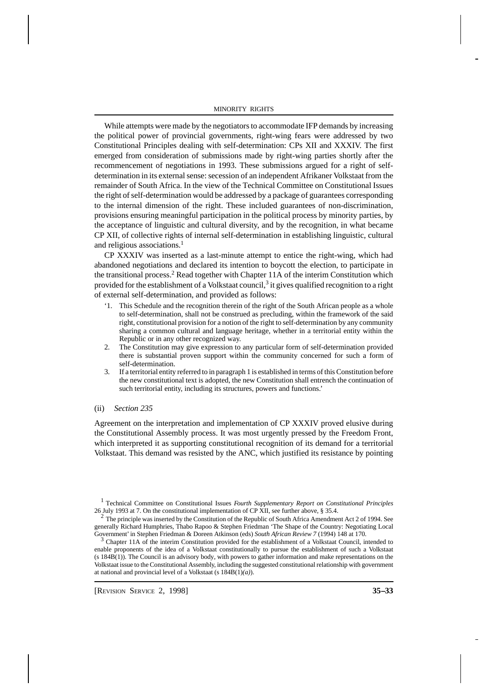While attempts were made by the negotiators to accommodate IFP demands by increasing the political power of provincial governments, right-wing fears were addressed by two Constitutional Principles dealing with self-determination: CPs XII and XXXIV. The first emerged from consideration of submissions made by right-wing parties shortly after the recommencement of negotiations in 1993. These submissions argued for a right of selfdetermination in its external sense: secession of an independent Afrikaner Volkstaat from the remainder of South Africa. In the view of the Technical Committee on Constitutional Issues the right of self-determination would be addressed by a package of guarantees corresponding to the internal dimension of the right. These included guarantees of non-discrimination, provisions ensuring meaningful participation in the political process by minority parties, by the acceptance of linguistic and cultural diversity, and by the recognition, in what became CP XII, of collective rights of internal self-determination in establishing linguistic, cultural and religious associations.<sup>1</sup>

33 CP XXXIV was inserted as a last-minute attempt to entice the right-wing, which had abandoned negotiations and declared its intention to boycott the election, to participate in the transitional process.<sup>2</sup> Read together with Chapter 11A of the interim Constitution which provided for the establishment of a Volkstaat council, $^3$  it gives qualified recognition to a right of external self-determination, and provided as follows:

- '1. This Schedule and the recognition therein of the right of the South African people as a whole to self-determination, shall not be construed as precluding, within the framework of the said right, constitutional provision for a notion of the right to self-determination by any community sharing a common cultural and language heritage, whether in a territorial entity within the Republic or in any other recognized way.
- 2. The Constitution may give expression to any particular form of self-determination provided there is substantial proven support within the community concerned for such a form of self-determination.
- 3. If a territorial entity referred to in paragraph 1 is established in terms of this Constitution before the new constitutional text is adopted, the new Constitution shall entrench the continuation of such territorial entity, including its structures, powers and functions.'

#### (ii) *Section 235*

Agreement on the interpretation and implementation of CP XXXIV proved elusive during the Constitutional Assembly process. It was most urgently pressed by the Freedom Front, which interpreted it as supporting constitutional recognition of its demand for a territorial Volkstaat. This demand was resisted by the ANC, which justified its resistance by pointing

1 Technical Committee on Constitutional Issues *Fourth Supplementary Report on Constitutional Principles* 26 July 1993 at 7. On the constitutional implementation of CP XII, see further above, § 35.4.

<sup>&</sup>lt;sup>2</sup> The principle was inserted by the Constitution of the Republic of South Africa Amendment Act 2 of 1994. See generally Richard Humphries, Thabo Rapoo & Stephen Friedman 'The Shape of the Country: Negotiating Local Government' in Stephen Friedman & Doreen Atkinson (eds) *South African Review 7* (1994) 148 at 170.

 $3$  Chapter 11A of the interim Constitution provided for the establishment of a Volkstaat Council, intended to enable proponents of the idea of a Volkstaat constitutionally to pursue the establishment of such a Volkstaat (s 184B(1)). The Council is an advisory body, with powers to gather information and make representations on the Volkstaat issue to the Constitutional Assembly, including the suggested constitutional relationship with government at national and provincial level of a Volkstaat (s 184B(1)*(a)*).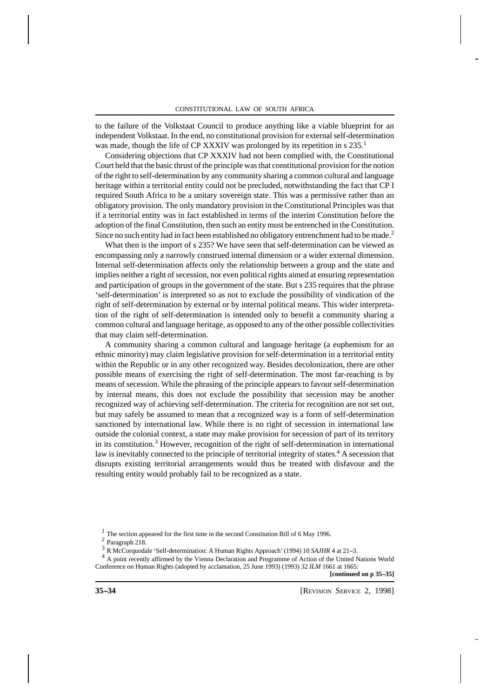to the failure of the Volkstaat Council to produce anything like a viable blueprint for an independent Volkstaat. In the end, no constitutional provision for external self-determination was made, though the life of CP XXXIV was prolonged by its repetition in s 235.<sup>1</sup>

Considering objections that CP XXXIV had not been complied with, the Constitutional Court held that the basic thrust of the principle was that constitutional provision for the notion of the right to self-determination by any community sharing a common cultural and language heritage within a territorial entity could not be precluded, notwithstanding the fact that CP I required South Africa to be a unitary sovereign state. This was a permissive rather than an obligatory provision. The only mandatory provision in the Constitutional Principles was that if a territorial entity was in fact established in terms of the interim Constitution before the adoption of the final Constitution, then such an entity must be entrenched in the Constitution. Since no such entity had in fact been established no obligatory entrenchment had to be made.<sup>2</sup>

What then is the import of s 235? We have seen that self-determination can be viewed as encompassing only a narrowly construed internal dimension or a wider external dimension. Internal self-determination affects only the relationship between a group and the state and implies neither a right of secession, nor even political rights aimed at ensuring representation and participation of groups in the government of the state. But s 235 requires that the phrase 'self-determination' is interpreted so as not to exclude the possibility of vindication of the right of self-determination by external or by internal political means. This wider interpretation of the right of self-determination is intended only to benefit a community sharing a common cultural and language heritage, as opposed to any of the other possible collectivities that may claim self-determination.

A community sharing a common cultural and language heritage (a euphemism for an ethnic minority) may claim legislative provision for self-determination in a territorial entity within the Republic or in any other recognized way. Besides decolonization, there are other possible means of exercising the right of self-determination. The most far-reaching is by means of secession. While the phrasing of the principle appears to favour self-determination by internal means, this does not exclude the possibility that secession may be another recognized way of achieving self-determination. The criteria for recognition are not set out, but may safely be assumed to mean that a recognized way is a form of self-determination sanctioned by international law. While there is no right of secession in international law outside the colonial context, a state may make provision for secession of part of its territory in its constitution.<sup>3</sup> However, recognition of the right of self-determination in international law is inevitably connected to the principle of territorial integrity of states.<sup>4</sup> A secession that disrupts existing territorial arrangements would thus be treated with disfavour and the resulting entity would probably fail to be recognized as a state.

<sup>&</sup>lt;sup>1</sup> The section appeared for the first time in the second Constitution Bill of 6 May 1996.

<sup>2</sup> Paragraph 218.

<sup>&</sup>lt;sup>3</sup> R McCorquodale 'Self-determination: A Human Rights Approach' (1994) 10 *SAJHR* 4 at 21-3.

<sup>&</sup>lt;sup>4</sup> A point recently affirmed by the Vienna Declaration and Programme of Action of the United Nations World Conference on Human Rights (adopted by acclamation, 25 June 1993) (1993) 32 *ILM* 1661 at 1665: